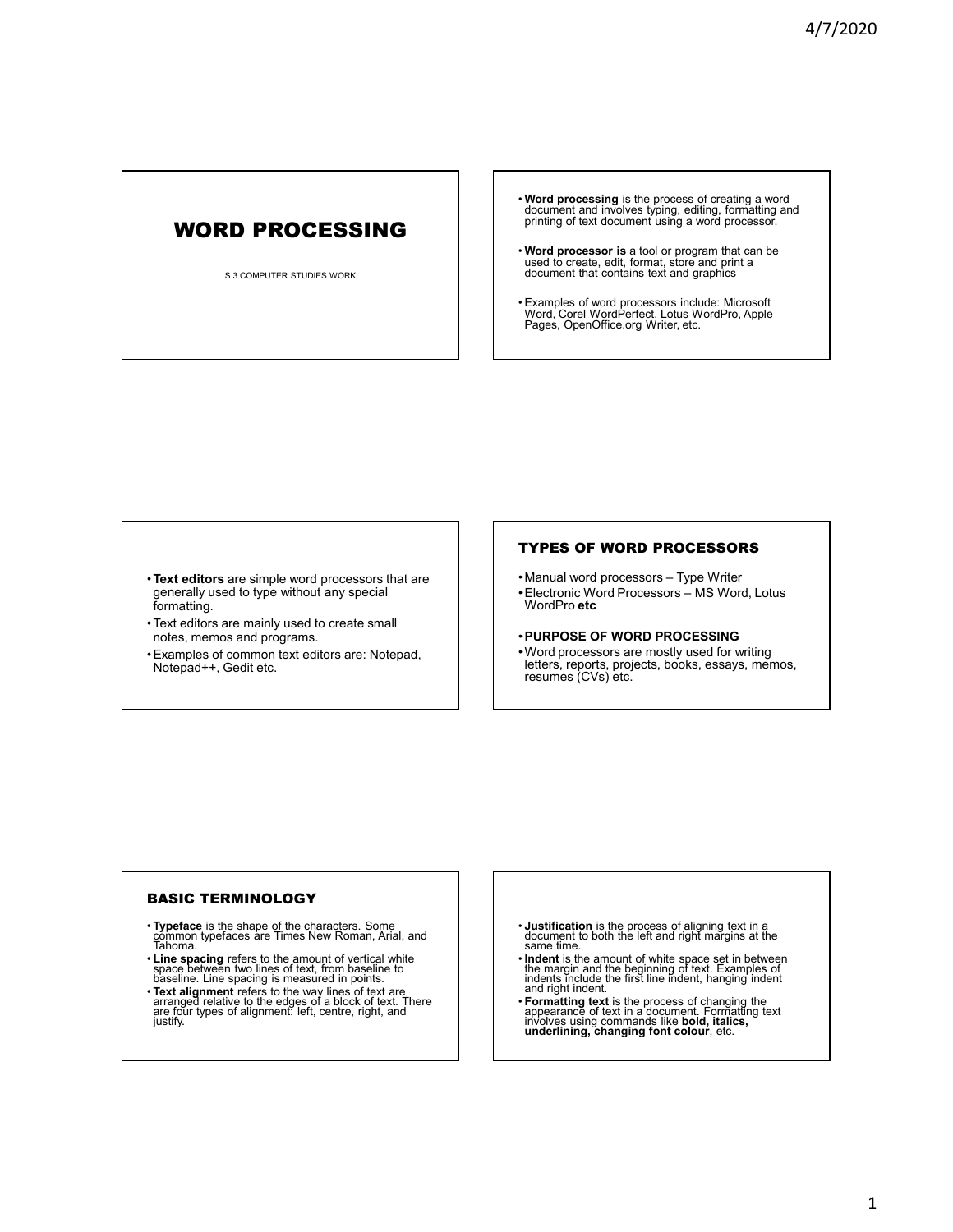# WORD PROCESSING

S.3 COMPUTER STUDIES WORK

- **Word processing** is the process of creating a word document and involves typing, editing, formatting and printing of text document using a word processor.
- **Word processor is** a tool or program that can be used to create, edit, format, store and print a document that contains text and graphics
- Examples of word processors include: Microsoft Word, Corel WordPerfect, Lotus WordPro, Apple Pages, OpenOffice.org Writer, etc.

- •**Text editors** are simple word processors that are generally used to type without any special formatting.
- Text editors are mainly used to create small notes, memos and programs.
- Examples of common text editors are: Notepad, Notepad++, Gedit etc.

# TYPES OF WORD PROCESSORS

- Manual word processors Type Writer
- Electronic Word Processors MS Word, Lotus WordPro **etc**
- •**PURPOSE OF WORD PROCESSING** • Word processors are mostly used for writing letters, reports, projects, books, essays, memos, resumes (CVs) etc.

# BASIC TERMINOLOGY

- **Typeface** is the shape of the characters. Some common typefaces are Times New Roman, Arial, and Tahoma.
- **Line spacing** refers to the amount of vertical white space between two lines of text, from baseline to baseline. Line spacing is measured in points.
- **Text alignment** refers to the way lines of text are arranged relative to the edges of a block of text. There are four types of alignment: left, centre, right, and justify.
- **Justification** is the process of aligning text in a document to both the left and right margins at the same time.
- **Indent** is the amount of white space set in between the margin and the beginning of text. Examples of indents include the first line indent, hanging indent and right indent.
- **Formatting text** is the process of changing the appearance of text in a document. Formatting text involves using commands like **bold, italics, underlining, changing font colour**, etc.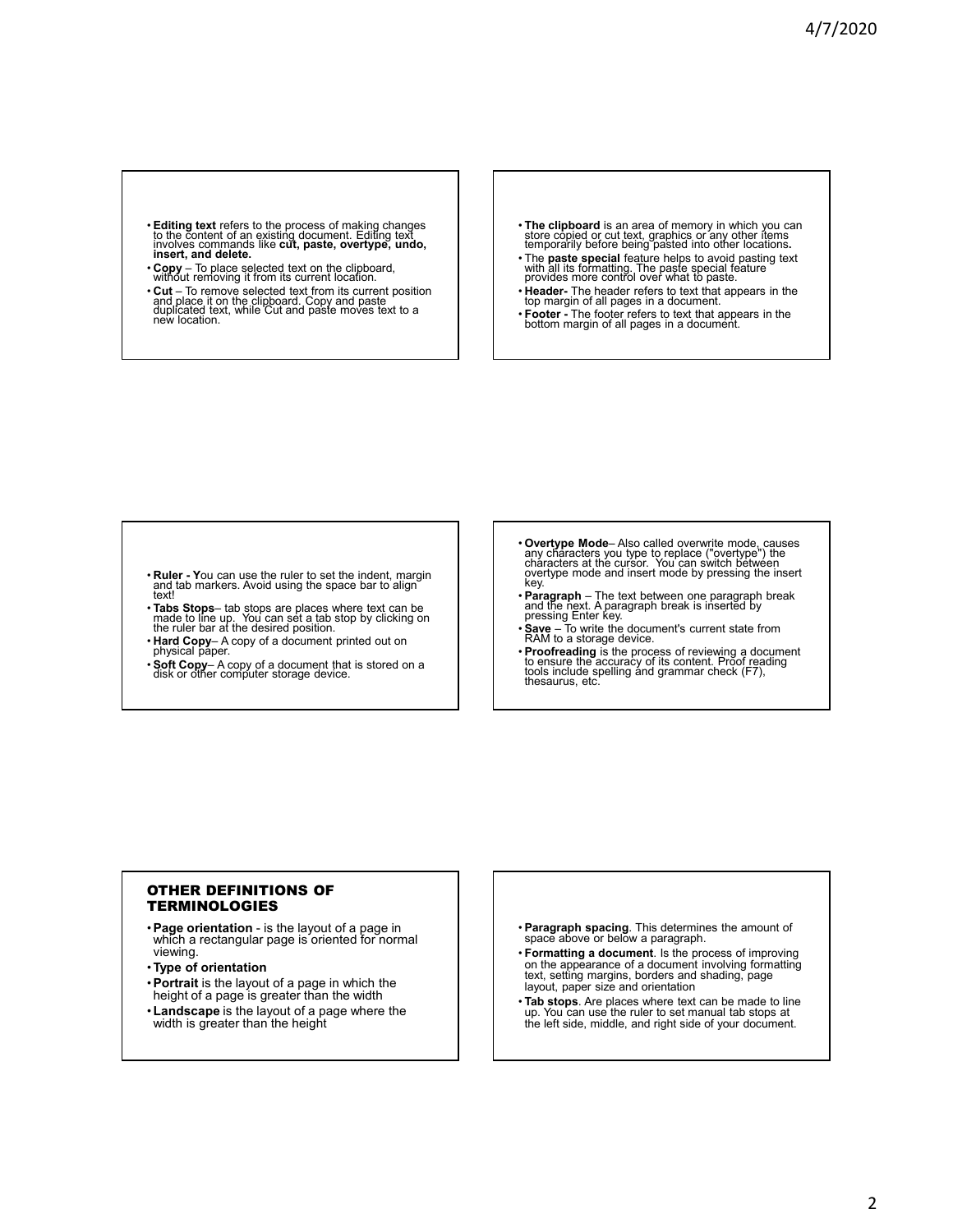- **Editing text** refers to the process of making changes to the content of an existing document. Editing text involves commands like **cut, paste, overtype, undo, insert, and delete.**
- **Copy**  To place selected text on the clipboard, without removing it from its current location.
- **Cut**  To remove selected text from its current position and place it on the clipboard. Copy and paste duplicated text, while Cut and paste moves text to a new location.
- **The clipboard** is an area of memory in which you can store copied or cut text, graphics or any other items temporarily before being pasted into other locations**.**
- The **paste special** feature helps to avoid pasting text with all its formatting. The paste special feature provides more control over what to paste.
- **Header-** The header refers to text that appears in the top margin of all pages in a document.
- **Footer -** The footer refers to text that appears in the bottom margin of all pages in a document.

- **Ruler Y**ou can use the ruler to set the indent, margin and tab markers. Avoid using the space bar to align text!
- **Tabs Stops** tab stops are places where text can be made to line up. You can set a tab stop by clicking on the ruler bar at the desired position.
- **Hard Copy** A copy of a document printed out on physical paper.
- **Soft Copy** A copy of a document that is stored on a disk or other computer storage device.
- **Overtype Mode** Also called overwrite mode, causes any characters you type to replace ("overtype") the characters at the cursor. You can switch between cháracters at thé cursor. You can switch betwéen<br>overtype mode and insert mode by pressing the insert<br>key.
- **Paragraph** The text between one paragraph break<br> and the next. A paragraph break is inserted by<br> pressing Enter key.
- **Save**  To write the document's current state from RAM to a storage device.
- **Proofreading** is the process of reviewing a document to ensure the accuracy of its content. Proof reading tools include spelling and grammar check (F7), thesaurus, etc.

# OTHER DEFINITIONS OF TERMINOLOGIES

- •**Page orientation**  is the layout of a page in which a rectangular page is oriented for normal viewing.
- •**Type of orientation**
- •**Portrait** is the layout of a page in which the height of a page is greater than the width
- •**Landscape** is the layout of a page where the width is greater than the height
- **Paragraph spacing**. This determines the amount of space above or below a paragraph.
- **Formatting a document**. Is the process of improving on the appearance of a document involving formatting text, setting margins, borders and shading, page layout, paper size and orientation
- **Tab stops**. Are places where text can be made to line up. You can use the ruler to set manual tab stops at the left side, middle, and right side of your document.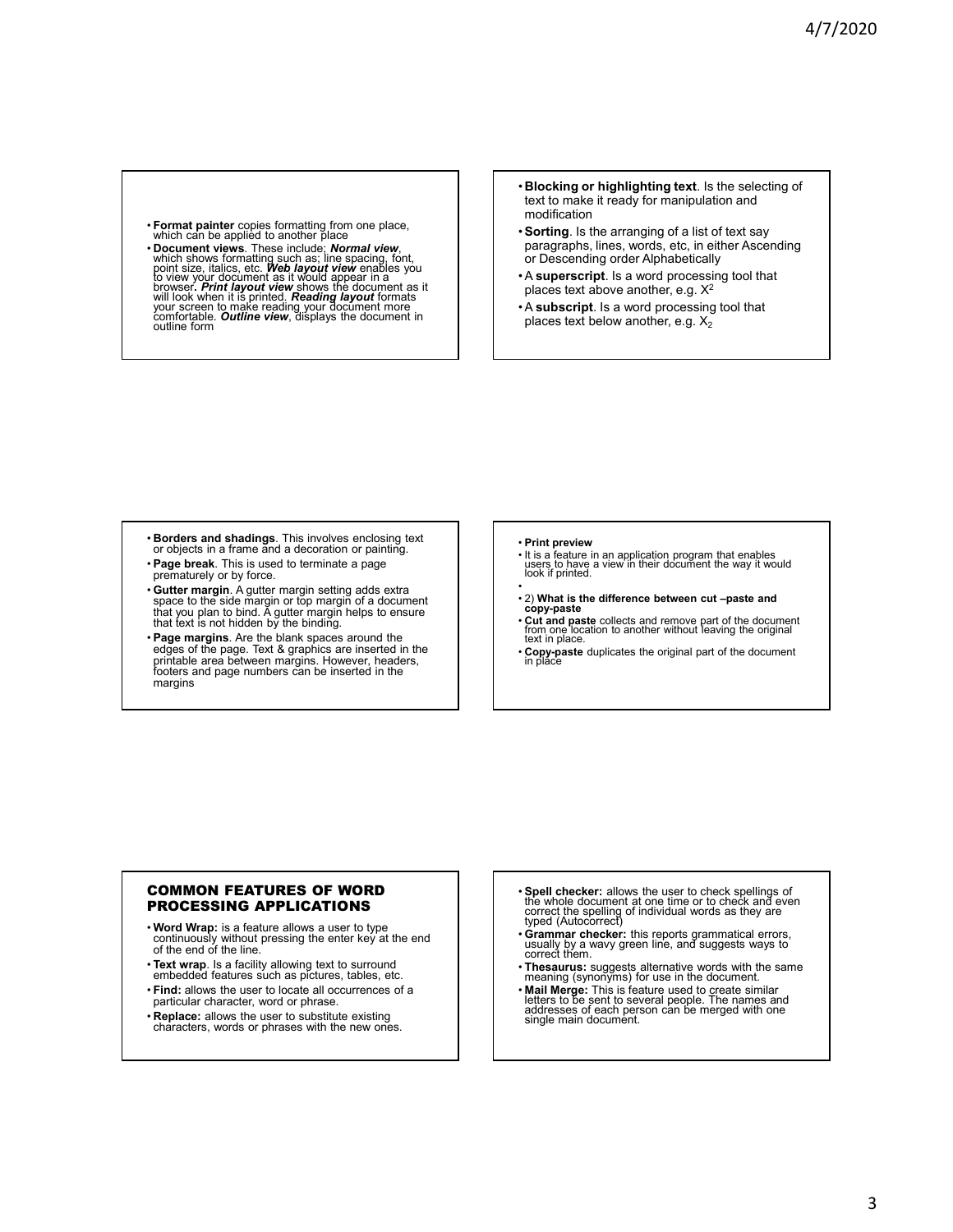- **Format painter** copies formatting from one place, which can be applied to another place
- Document views. These include; *Normal view*, which shows formatting such as line spacing, font, point size, italics, etc. Web layout view enables you to view your document as it would appear in a view of provest in the outline form
- **Blocking or highlighting text**. Is the selecting of text to make it ready for manipulation and modification
- •**Sorting**. Is the arranging of a list of text say paragraphs, lines, words, etc, in either Ascending or Descending order Alphabetically
- A **superscript**. Is a word processing tool that places text above another, e.g. X<sup>2</sup>
- A **subscript**. Is a word processing tool that places text below another, e.g.  $X_2$

- **Borders and shadings**. This involves enclosing text or objects in a frame and a decoration or painting.
- 
- **Page break**. This is used to terminate a page prematurely or by force.
- **Gutter margin**. A gutter margin setting adds extra space to the side margin or top margin of a document that you plan to bind. A gutter margin helps to ensure that text is not hidden by the binding.
- **Page margins**. Are the blank spaces around the edges of the page. Text & graphics are inserted in the printable area between margins. However, headers, footers and page numbers can be inserted in the margins

#### • **Print preview**

- It is a feature in an application program that enables users to have a view in their document the way it would look if printed.
- • 2) **What is the difference between cut –paste and copy-paste**
- **Cut and paste** collects and remove part of the document from one location to another without leaving the original text in place.
- **Copy-paste** duplicates the original part of the document in place

#### COMMON FEATURES OF WORD PROCESSING APPLICATIONS

- **Word Wrap:** is a feature allows a user to type continuously without pressing the enter key at the end of the end of the line.
- **Text wrap**. Is a facility allowing text to surround
- embedded features such as pictures, tables, etc. • **Find:** allows the user to locate all occurrences of a
- particular character, word or phrase. • **Replace:** allows the user to substitute existing
- characters, words or phrases with the new ones.
- **Spell checker:** allows the user to check spellings of the whole document at one time or to check and even correct the spelling of individual words as they are typed (Autocorrect)
- **Grammar checker:** this reports grammatical errors, usually by a wavy green line, and suggests ways to correct them.
- **Thesaurus:** suggests alternative words with the same meaning (synonyms) for use in the document.
- **Mail Merge:** This is feature used to create similar letters to be sent to several people. The names and addresses of each person can be merged with one single main document.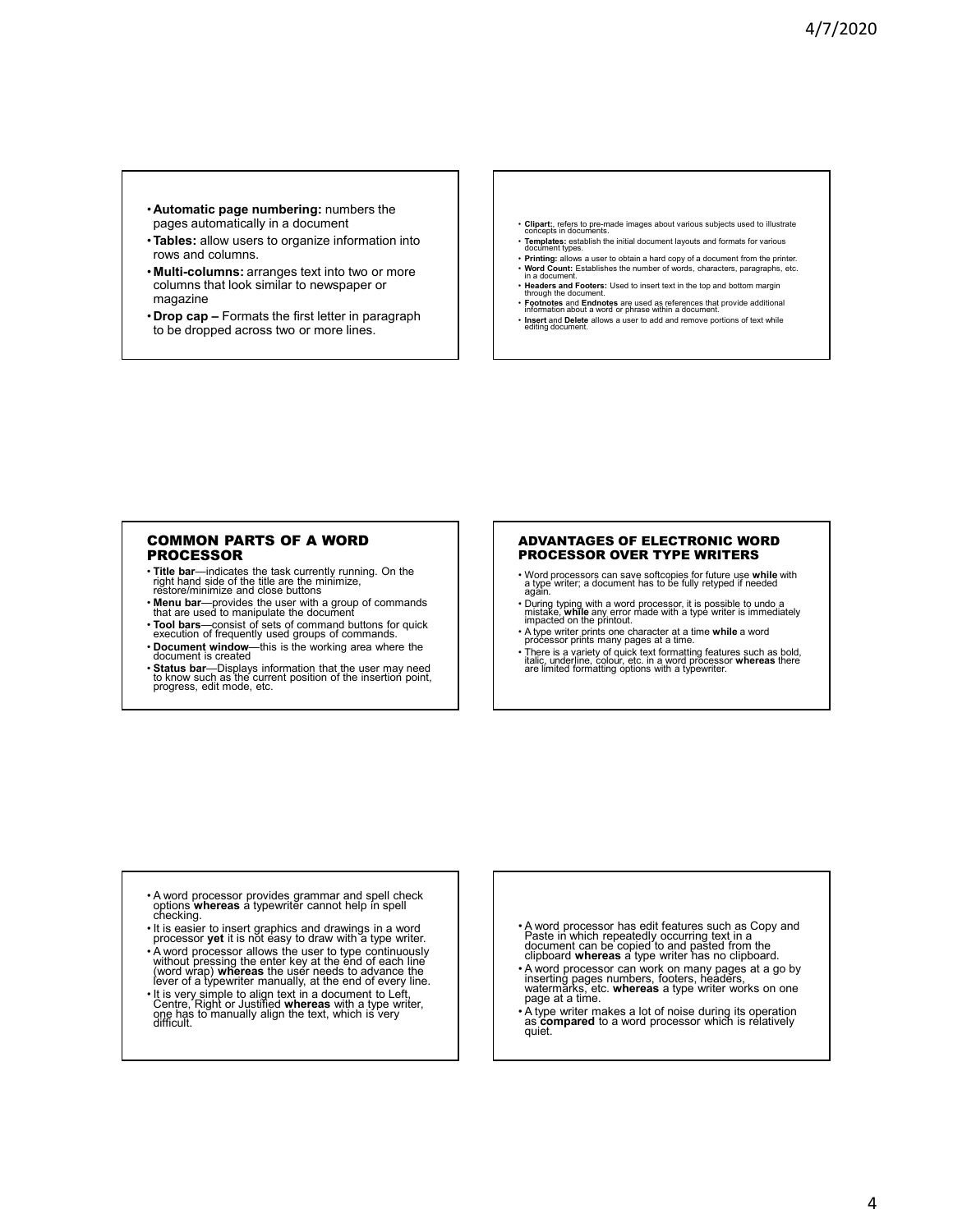- **Automatic page numbering:** numbers the pages automatically in a document
- •**Tables:** allow users to organize information into rows and columns.
- **Multi-columns:** arranges text into two or more columns that look similar to newspaper or magazine
- **Drop cap –** Formats the first letter in paragraph to be dropped across two or more lines.
- **Clipart:**, refers to pre-made images about various subjects used to illustrate concepts in documents.
- **Templates:** establish the initial document layouts and formats for various document types. • **Printing:** allows a user to obtain a hard copy of a document from the printer.
- **Word Count:** Establishes the number of words, characters, paragraphs, etc. in a document.
- **Headers and Footers:** Used to insert text in the top and bottom margin through the document.
- **Footnotes** and **Endnotes** are used as references that provide additional information about a word or phrase within a document. • **Insert** and **Delete** allows a user to add and remove portions of text while editing document.

## COMMON PARTS OF A WORD PROCESSOR

- **Title bar**—indicates the task currently running. On the right hand side of the title are the minimize, restore/minimize and close buttons
- **Menu bar**—provides the user with a group of commands that are used to manipulate the document
- **Tool bars**—consist of sets of command buttons for quick execution of frequently used groups of commands.
- **Document window**—this is the working area where the mt is created.
- **Status bar**—Displays information that the user may need to know such as the current position of the insertion point,<br>progress, edit mode, etc.

#### ADVANTAGES OF ELECTRONIC WORD PROCESSOR OVER TYPE WRITERS

- Word processors can save softcopies for future use **while** with a type writer; a document has to be fully retyped if needed again.
- During typing with a word processor, it is possible to undo a mistake, **while** any error made with a type writer is immediately impacted on the printout.
- A type writer prints one character at a time **while** a word processor prints many pages at a time.
- There is a variety of quick text formatting features such as bold, italic, underline, colour, etc. in a word processor **whereas** there are limited formatting options with a typewriter.

- A word processor provides grammar and spell check options **whereas** a typewriter cannot help in spell checking.
- It is easier to insert graphics and drawings in a word processor **yet** it is not easy to draw with a type writer.
- A word processor allows the user to type continuously<br>without pressing the enter key at the end of each line<br>(word wrap) whereas the user needs to advance the<br>lever of a typewriter manually, at the end of every line.
- It is very simple to align text in a document to Left, Centre, Right or Justified **whereas** with a type writer, one has to manually align the text, which is very difficult.
- A word processor has edit features such as Copy and Paste in which repeatedly occurring text in a document can be copied to and pasted from the clipboard **whereas** a type writer has no clipboard.
- A word processor can work on many pages at a go by inserting pages numbers, footers, headers, watermarks, etc. **whereas** a type writer works on one page at a time.
- A type writer makes a lot of noise during its operation as **compared** to a word processor which is relatively quiet.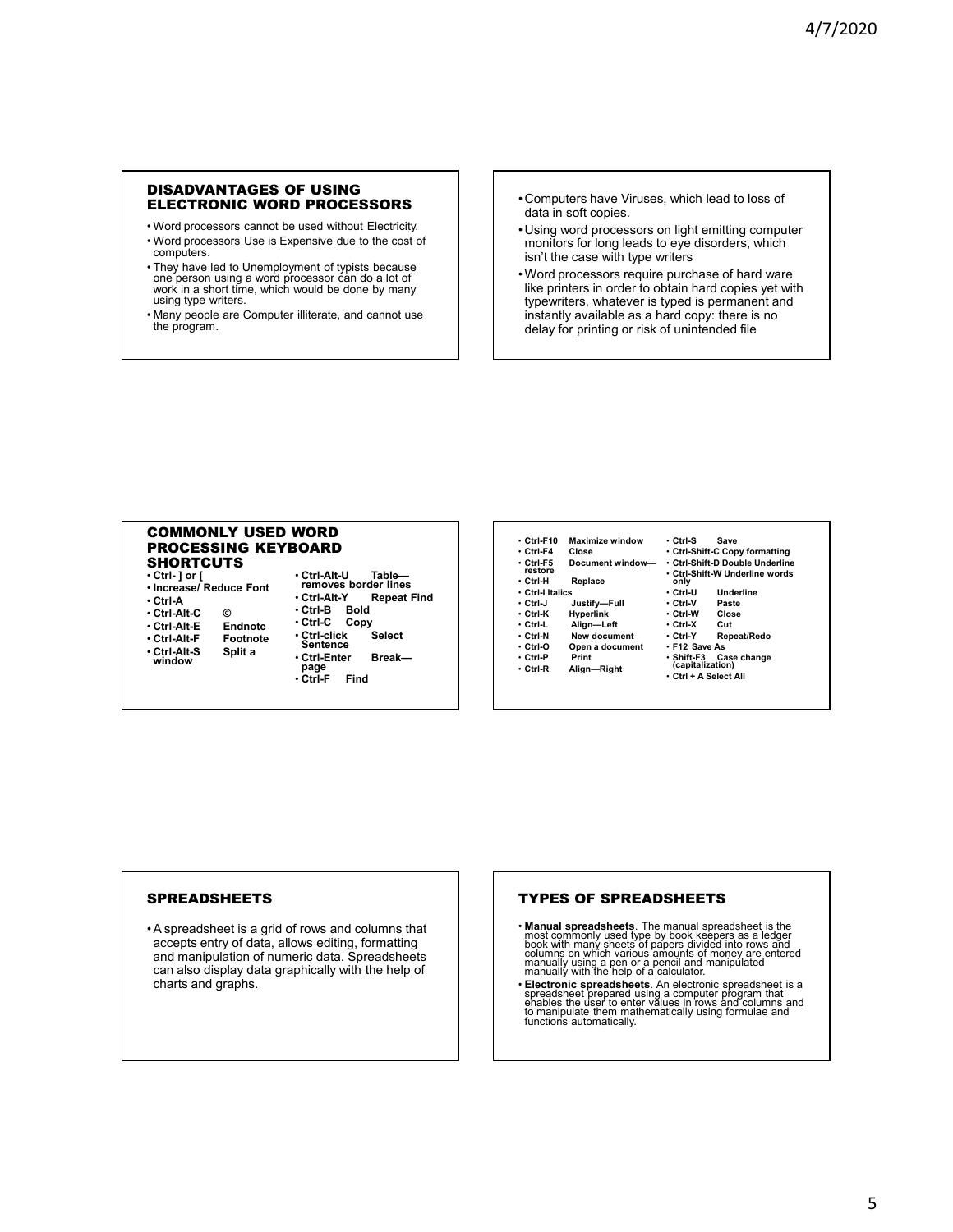# DISADVANTAGES OF USING ELECTRONIC WORD PROCESSORS

- Word processors cannot be used without Electricity. • Word processors Use is Expensive due to the cost of computers.
- They have led to Unemployment of typists because one person using a word processor can do a lot of work in a short time, which would be done by many using type writers.
- Many people are Computer illiterate, and cannot use the program.
- Computers have Viruses, which lead to loss of data in soft copies.
- Using word processors on light emitting computer monitors for long leads to eye disorders, which isn't the case with type writers
- Word processors require purchase of hard ware like printers in order to obtain hard copies yet with typewriters, whatever is typed is permanent and instantly available as a hard copy: there is no delay for printing or risk of unintended file

#### COMMONLY USED WORD PROCESSING KEYBOARD **SHORTCUTS**

- **Ctrl- ] or [**
- **Increase/ Reduce Font**
- **Ctrl-A**
- **Ctrl-Alt-C ©**
- **Ctrl-Alt-E Endnote**
- Ctrl-Alt-F Footno<br>• Ctrl-Alt-S Split a
- 
- **Ctrl-Alt-S Split a window**
	- -
- **Ctrl-Alt-U Table— removes border lines** • **Ctrl-Alt-Y Repeat Find** • **Ctrl-B Bold** • **Ctrl-C Copy** • **Ctrl-click Select Sentence** • **Ctrl-Enter Break page** • **Ctrl-F Find**

| • Ctrl-F10       | Maximize window  | • Ctrl-S              | Save                            |
|------------------|------------------|-----------------------|---------------------------------|
| ∙ Ctrl-F4        | Close            |                       | • Ctrl-Shift-C Copy formatting  |
| ∙ Ctrl-F5        | Document window- |                       | • Ctrl-Shift-D Double Underline |
| restore          |                  |                       | • Ctrl-Shift-W Underline words  |
| ∙ Ctrl-H         | Replace          | only                  |                                 |
| ∙ Ctrl-l Italics |                  | • Ctrl-U              | Underline                       |
| ∙ Ctrl-J         | Justify—Full     | • Ctrl-V              | Paste                           |
| ∙ Ctrl-K         | <b>Hyperlink</b> | • Ctrl-W              | Close                           |
| ∙ Ctrl-L         | Align-Left       | • Ctrl-X              | Cut                             |
| • Ctrl-N         | New document     | • Ctrl-Y              | Repeat/Redo                     |
| ∙ Ctrl-O         | Open a document  | • F12 Save As         |                                 |
| • Ctrl-P         | Print            | ∙ Shift-F3            | Case change                     |
| ∙ Ctrl-R         | Align-Right      | (capitalization)      |                                 |
|                  |                  | ∙ Ctrl + A Select All |                                 |

# **SPREADSHEETS**

• A spreadsheet is a grid of rows and columns that accepts entry of data, allows editing, formatting and manipulation of numeric data. Spreadsheets can also display data graphically with the help of charts and graphs.

# TYPES OF SPREADSHEETS

- Manual spreadsheets. The manual spreadsheet is the most commonly used type by book weepers as a ledger<br>book with many sheets of papers divided into rows and<br>columns on which various amounts of money are entered<br>manually
- Electronic spreadsheets. An electronic spreadsheet is a<br>spreadsheet prepared using a computer program that<br>enables the user to enter values in rows and columns and<br>to manipulate them mathematically using formulae and<br>fun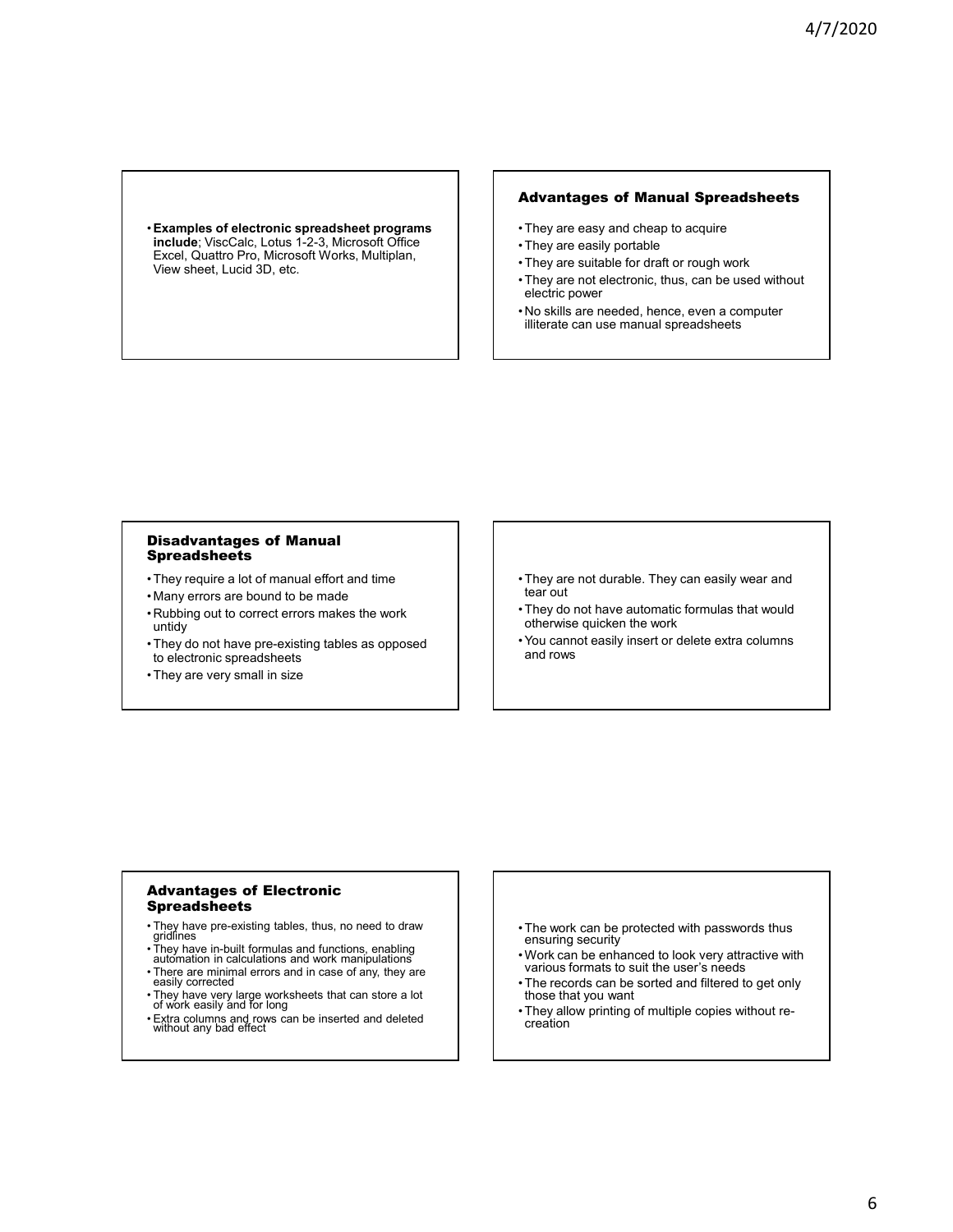•**Examples of electronic spreadsheet programs include**; ViscCalc, Lotus 1-2-3, Microsoft Office Excel, Quattro Pro, Microsoft Works, Multiplan, View sheet, Lucid 3D, etc.

# Advantages of Manual Spreadsheets

- They are easy and cheap to acquire
- They are easily portable
- They are suitable for draft or rough work
- They are not electronic, thus, can be used without electric power
- No skills are needed, hence, even a computer illiterate can use manual spreadsheets

#### Disadvantages of Manual **Spreadsheets**

- They require a lot of manual effort and time
- Many errors are bound to be made
- Rubbing out to correct errors makes the work untidy
- They do not have pre-existing tables as opposed to electronic spreadsheets
- They are very small in size
- They are not durable. They can easily wear and tear out
- They do not have automatic formulas that would otherwise quicken the work
- You cannot easily insert or delete extra columns and rows

#### Advantages of Electronic Spreadsheets

- They have pre-existing tables, thus, no need to draw gridlines
- 
- They have in-built formulas and functions, enabling automation in calculations and work manipulations
- There are minimal errors and in case of any, they are easily corrected
- They have very large worksheets that can store a lot of work easily and for long
- Extra columns and rows can be inserted and deleted without any bad effect
- The work can be protected with passwords thus ensuring security
- Work can be enhanced to look very attractive with various formats to suit the user's needs
- The records can be sorted and filtered to get only those that you want
- They allow printing of multiple copies without re-creation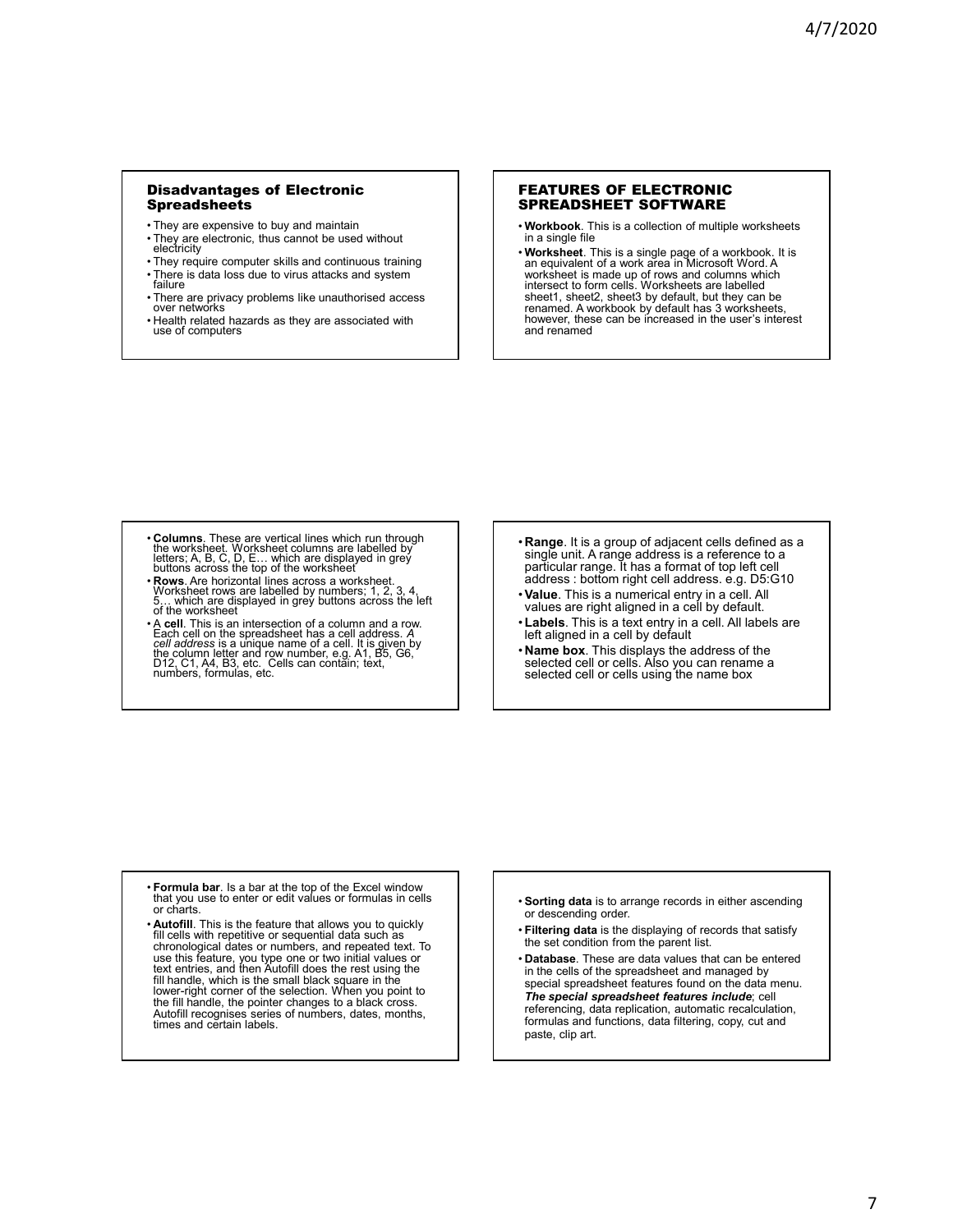#### Disadvantages of Electronic **Spreadsheets**

- They are expensive to buy and maintain
- They are electronic, thus cannot be used without electricity
- They require computer skills and continuous training
- There is data loss due to virus attacks and system failure
- There are privacy problems like unauthorised access over networks
- Health related hazards as they are associated with use of computers

#### FEATURES OF ELECTRONIC SPREADSHEET SOFTWARE

- **Workbook**. This is a collection of multiple worksheets in a single file
- **Worksheet**. This is a single page of a workbook. It is an equivalent of a work area in Microsoft Word. A worksheet is made up of rows and columns which<br>intersect to form cells. Worksheets are labelled<br>sheet1, sheet2, sheet3 by default, but they can be<br>renamed. A workbook by default has 3 worksheets,<br>however, these can be incr and renamed

- **Columns**. These are vertical lines which run through the worksheet. Worksheet columns are labelled by letters; A, B, C, D, E… which are displayed in grey buttons across the top of the worksheet
- **Rows**. Are horizontal lines across a worksheet.<br>Worksheet rows are labelled by numbers; 1, 2, 3, 4,<br>5… which are displayed in grey buttons across the left<br>of the worksheet
- A **cell**. This is an intersection of a column and a row. Each cell on the spreadsheet has a cell address. A<br>cell address is a unique name of a cell. It is given by<br>the column letter and row number, e.g. A1, B5, G6,<br>D12, C1, A4, B3, etc. Cells can contain; text,<br>numbers, formulas
- **Range**. It is a group of adjacent cells defined as a single unit. A range address is a reference to a particular range. It has a format of top left cell address : bottom right cell address. e.g. D5:G10
- •**Value**. This is a numerical entry in a cell. All values are right aligned in a cell by default.
- •**Labels**. This is a text entry in a cell. All labels are left aligned in a cell by default
- **Name box**. This displays the address of the selected cell or cells. Also you can rename a selected cell or cells using the name box

- **Formula bar**. Is a bar at the top of the Excel window that you use to enter or edit values or formulas in cells or charts.
- **Autofill**. This is the feature that allows you to quickly fill cells with repetitive or sequential data such as chronological dates or numbers, and repeated text. To use this feature, you type one or two initial values or text entries, and then Autofill does the rest using the fill handle, which is the small black square in the lower-right corner of the selection. When you point to the fill handle, the pointer changes to a black cross. Autofill recognises series of numbers, dates, months, times and certain labels.
- **Sorting data** is to arrange records in either ascending or descending order.
- **Filtering data** is the displaying of records that satisfy the set condition from the parent list.
- **Database**. These are data values that can be entered in the cells of the spreadsheet and managed by special spreadsheet features found on the data menu. *The special spreadsheet features include*; cell referencing, data replication, automatic recalculation, formulas and functions, data filtering, copy, cut and paste, clip art.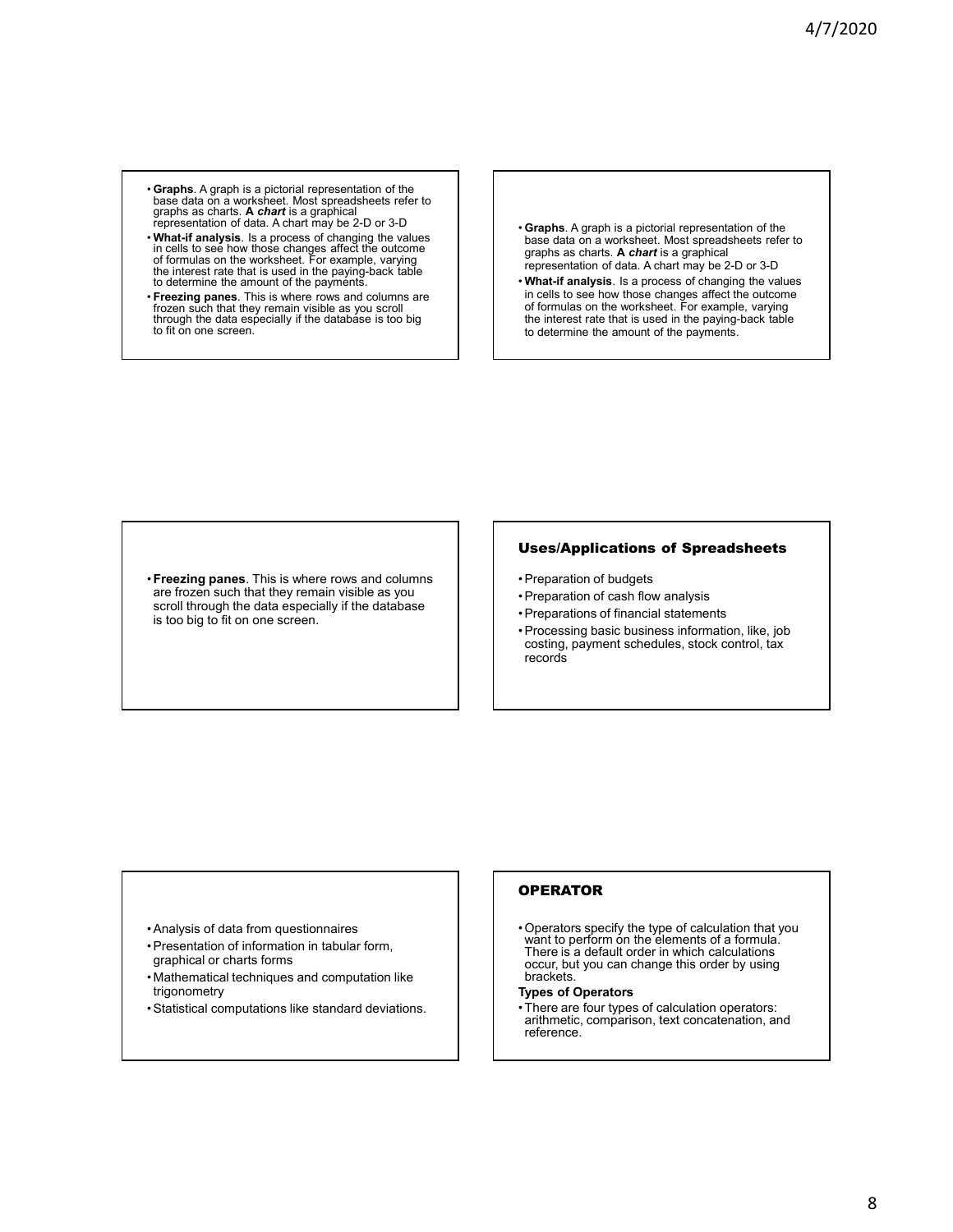- **Graphs**. A graph is a pictorial representation of the base data on a worksheet. Most spreadsheets refer to graphs as charts. **A** *chart* is a graphical representation of data. A chart may be 2-D or 3-D
- **What-if analysis**. Is a process of changing the values in cells to see how those changes affect the outcome of formulas on the worksheet. For example, varying the interest rate that is used in the paying-back table to determine the amount of the payments.
- **Freezing panes**. This is where rows and columns are frozen sūch that they remain visible as you scroll<br>through the data especially if the database is too big to fit on one screen.
- **Graphs**. A graph is a pictorial representation of the base data on a worksheet. Most spreadsheets refer to graphs as charts. **A** *chart* is a graphical representation of data. A chart may be 2-D or 3-D
- **What-if analysis**. Is a process of changing the values in cells to see how those changes affect the outcome of formulas on the worksheet. For example, varying the interest rate that is used in the paying-back table to determine the amount of the payments.

•**Freezing panes**. This is where rows and columns are frozen such that they remain visible as you scroll through the data especially if the database is too big to fit on one screen.

# Uses/Applications of Spreadsheets

- Preparation of budgets
- Preparation of cash flow analysis
- Preparations of financial statements
- Processing basic business information, like, job costing, payment schedules, stock control, tax records

- Analysis of data from questionnaires
- Presentation of information in tabular form, graphical or charts forms
- Mathematical techniques and computation like trigonometry
- Statistical computations like standard deviations.

# **OPERATOR**

• Operators specify the type of calculation that you want to perform on the elements of a formula. There is a default order in which calculations occur, but you can change this order by using brackets.

#### **Types of Operators**

• There are four types of calculation operators: arithmetic, comparison, text concatenation, and reference.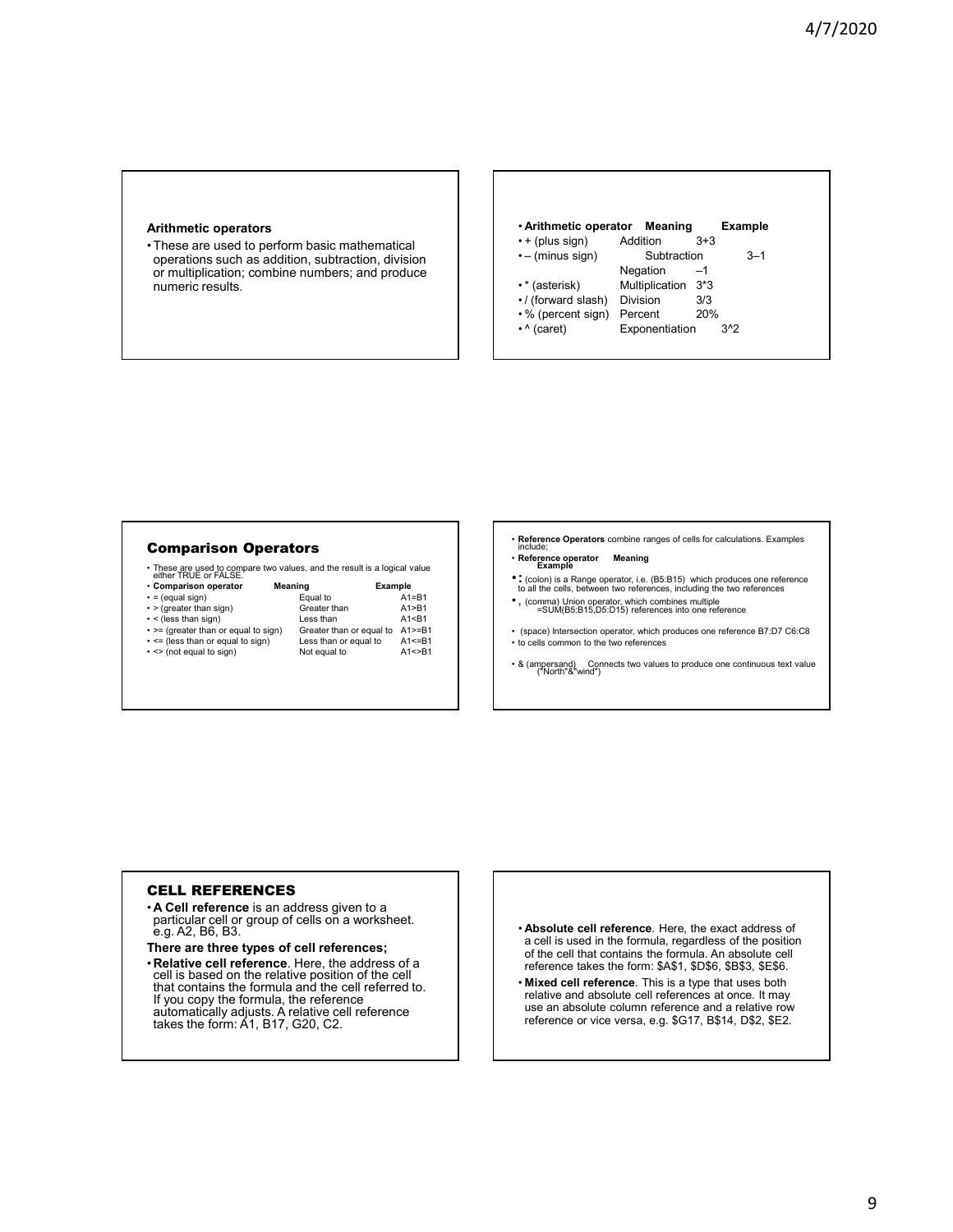#### **Arithmetic operators**

• These are used to perform basic mathematical operations such as addition, subtraction, division or multiplication; combine numbers; and produce numeric results.



## Comparison Operators

• These are used to compare two values, and the result is a logical value either TRUE or FALSE.

| GILIGI IIVUL UI IALUL.               |                          |         |              |
|--------------------------------------|--------------------------|---------|--------------|
| • Comparison operator                | Meaning                  | Example |              |
| $\cdot$ = (equal sign)               | Equal to                 |         | $A1 = B1$    |
| $\cdot$ > (greater than sign)        | Greater than             |         | A1 > B1      |
| $\cdot$ < (less than sign)           | Less than                |         | A1 < B1      |
| • >= (greater than or equal to sign) | Greater than or equal to |         | $A1>=B1$     |
| - <= (less than or equal to sign)    | Less than or equal to    |         | $A1 \leq B1$ |
| • <> (not equal to sign)             | Not equal to             |         | A1 < > B1    |
|                                      |                          |         |              |
|                                      |                          |         |              |

# • **Reference Operators** combine ranges of cells for calculations. Examples include;

- **Reference operator Meaning Example**
- •**:**(colon) is a Range operator, i.e. (B5:B15) which produces one reference to all the cells, between two references, including the two references
- , (comma) Union operator, which combines multiple =SUM(B5:B15,D5:D15) references into one reference
- (space) Intersection operator, which produces one reference B7:D7 C6:C8 • to cells common to the two references
- & (ampersand) Connects two values to produce one continuous text value ("North"&"wind")

#### CELL REFERENCES

- **A Cell reference** is an address given to a particular cell or group of cells on a worksheet.<br>e.g. A2, B6, B3.
- **There are three types of cell references;**
- **Relative cell reference**. Here, the address of a cell is based on the relative position of the cell that contains the formula and the cell referred to. If you copy the formula, the reference automatically adjusts. A relative cell reference takes the form: A1, B17, G20, C2.
- **Absolute cell reference**. Here, the exact address of a cell is used in the formula, regardless of the position of the cell that contains the formula. An absolute cell reference takes the form: \$A\$1, \$D\$6, \$B\$3, \$E\$6.
- **Mixed cell reference**. This is a type that uses both relative and absolute cell references at once. It may use an absolute column reference and a relative row reference or vice versa, e.g. \$G17, B\$14, D\$2, \$E2.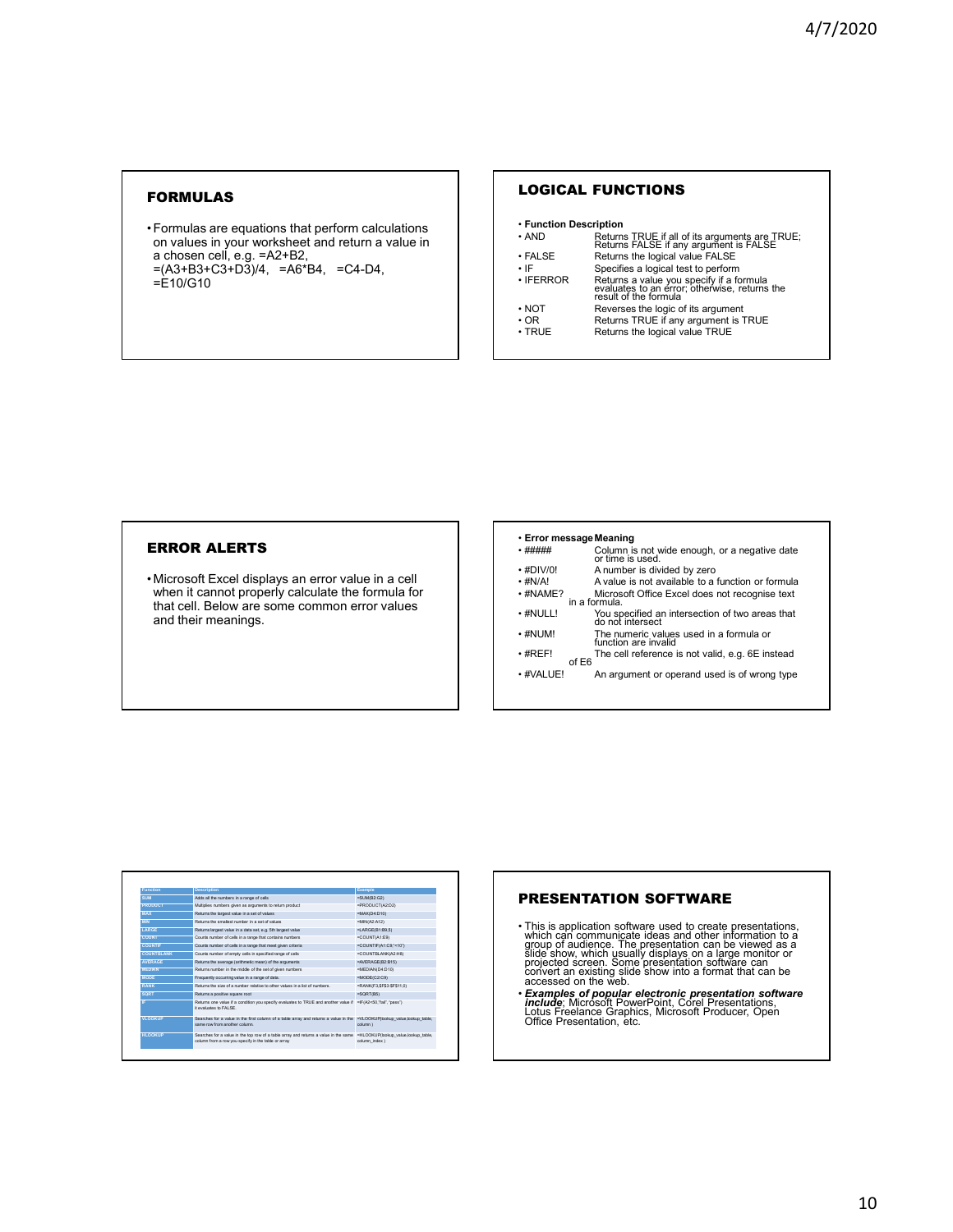# FORMULAS

• Formulas are equations that perform calculations on values in your worksheet and return a value in a chosen cell, e.g. =A2+B2, =(A3+B3+C3+D3)/4, =A6\*B4, =C4-D4,  $=$ E10/G10

# LOGICAL FUNCTIONS

| • Function Description |                                                                                                                    |
|------------------------|--------------------------------------------------------------------------------------------------------------------|
| • AND                  | Returns TRUE if all of its arguments are TRUE;<br>Returns FALSE if any argument is FALSE                           |
| $\cdot$ FALSE          | Returns the logical value FALSE                                                                                    |
| ٠١F                    | Specifies a logical test to perform                                                                                |
| $\cdot$ IFERROR        | Returns a value you specify if a formula<br>evaluates to an error; otherwise, returns the<br>result of the formula |
| $\cdot$ NOT            | Reverses the logic of its argument                                                                                 |
| $\cdot$ OR             | Returns TRUE if any argument is TRUE                                                                               |
| $\cdot$ TRUE           | Returns the logical value TRUE                                                                                     |

# ERROR ALERTS

• Microsoft Excel displays an error value in a cell when it cannot properly calculate the formula for that cell. Below are some common error values and their meanings.

#### • **Error messageMeaning**

|                 |       | Column is not wide enough, or a negative date<br>or time is used    |
|-----------------|-------|---------------------------------------------------------------------|
| $\cdot$ #DIV/0! |       | A number is divided by zero                                         |
| $·$ #N/A!       |       | A value is not available to a function or formula                   |
| $·$ #NAME?      |       | Microsoft Office Excel does not recognise text<br>in a formula      |
| $\cdot$ #NULL!  |       | You specified an intersection of two areas that<br>do not intersect |
| $\cdot$ #NUM!   |       | The numeric values used in a formula or<br>function are invalid     |
| $\cdot$ #REF!   | of E6 | The cell reference is not valid, e.g. 6E instead                    |
| • #VALUE!       |       | An argument or operand used is of wrong type                        |
|                 |       |                                                                     |

| Function          | <b>Description</b>                                                                                                                                       | Example                                               |
|-------------------|----------------------------------------------------------------------------------------------------------------------------------------------------------|-------------------------------------------------------|
| <b>SUM</b>        | Adds all the numbers in a range of cells                                                                                                                 | $=$ SUM(B2:G2)                                        |
| <b>PRODUCT</b>    | Multiplies numbers given as arouments to return product                                                                                                  | =PRODUCT(A2:D2)                                       |
| <b>MAX</b>        | Returns the largest value in a set of values                                                                                                             | $=MAX(D4:D10)$                                        |
| <b>MIN</b>        | Returns the smallest number in a set of values.                                                                                                          | $=MIN(A2:A12)$                                        |
| <b>LARGE</b>      | Returns largest value in a data set, e.g. 5th largest value                                                                                              | $=$ LARGE(B1:B9.5)                                    |
| COUNT             | Counts number of cells in a range that contains numbers                                                                                                  | =COUNT(A1:E9)                                         |
| <b>COUNTE</b>     | Counts number of cells in a range that meet given criteria                                                                                               | =COUNTIF(A1:C9,"<10")                                 |
| <b>COUNTBLANK</b> | Counts number of empty cells in specified range of cells                                                                                                 | =COUNTBLANK(A2:H8)                                    |
| <b>AVERAGE</b>    | Returns the average (arithmetic mean) of the arguments                                                                                                   | =AVERAGE(B2:B15)                                      |
| <b>MEDIAN</b>     | Returns number in the middle of the set of given numbers                                                                                                 | =MEDIAN(D4:D10)                                       |
| <b>MODE</b>       | Frequently occurring value in a range of data.                                                                                                           | $=MODE(C2:C9)$                                        |
| <b>RANK</b>       | Returns the size of a number relative to other values in a list of numbers                                                                               | =RANK(F3.\$F\$3:\$F\$11.0)                            |
| <b>SQRT</b>       | Returns a positive square root                                                                                                                           | $=$ SQRT $(B5)$                                       |
| IF.               | Returns one value if a condition you specify evaluates to TRUE and another value if =IF(A2<50."fail", "pass").<br>it evaluates to FALSE.                 |                                                       |
| <b>VLOOKUP</b>    | Searches for a value in the first column of a table array and returns a value in the =VLOOKUP(lookup value lookup table.<br>same row from another column | column )                                              |
| <b>HLOOKUP</b>    | Searches for a value in the too row of a table array and returns a value in the same<br>column from a row you specify in the table or array              | =HLOOKUP(lookup value.lookup table.<br>column index ) |

# PRESENTATION SOFTWARE

- This is application software used to create presentations, which can communicate ideas and other information to a group of audience. The presentation can be viewed as a slide show, which usually displays on a large monit
- *Examples of popular electronic presentation software*<br> *include*; Microsoft PowerPoint, Corel Presentations,<br>
Lotus Freelance Graphics, Microsoft Producer, Open<br>
Office Presentation, etc.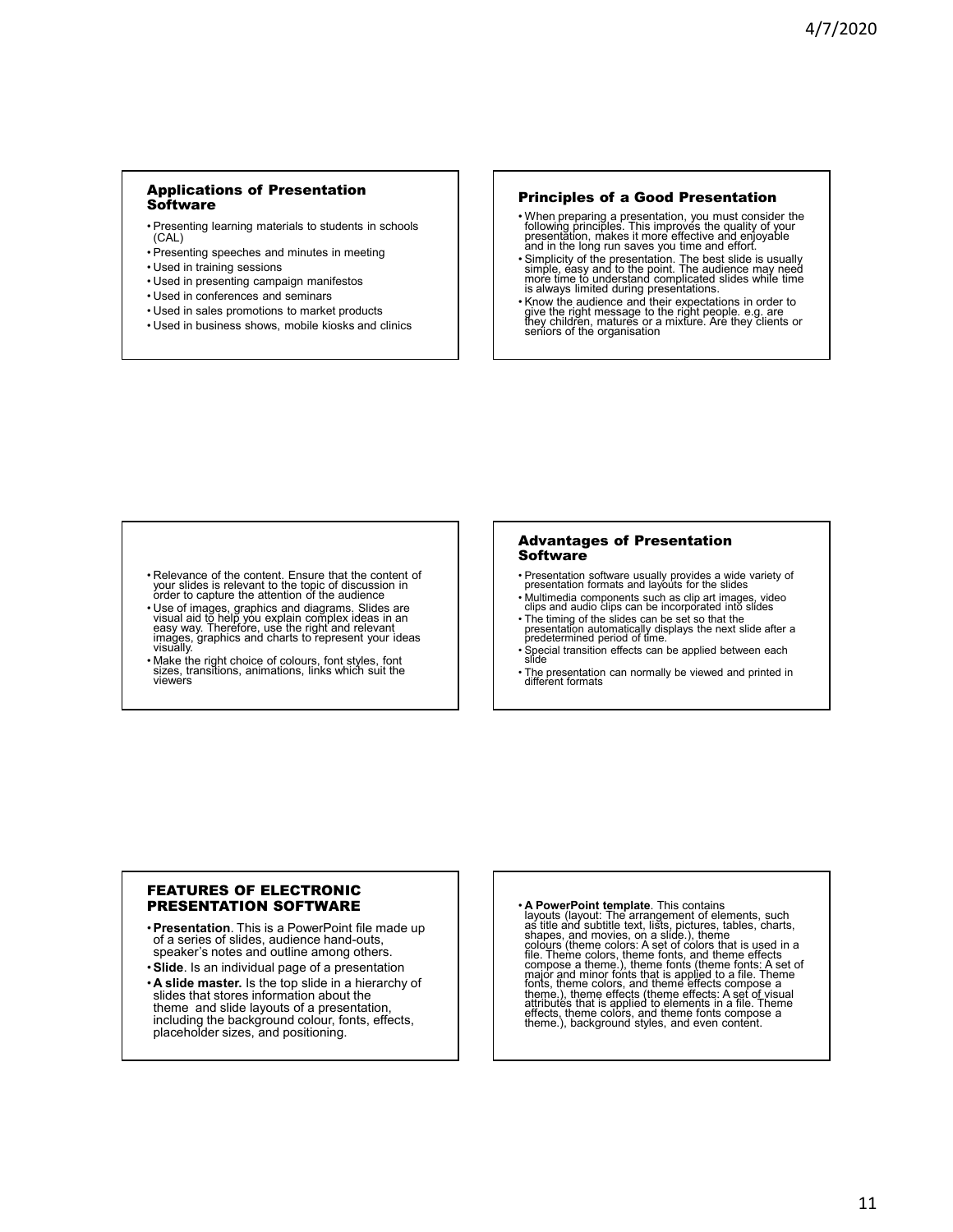# Applications of Presentation **Software**

- Presenting learning materials to students in schools (CAL)
- Presenting speeches and minutes in meeting
- Used in training sessions
- Used in presenting campaign manifestos
- Used in conferences and seminars
- Used in sales promotions to market products
- Used in business shows, mobile kiosks and clinics

#### Principles of a Good Presentation

- When preparing a presentation, you must consider the following principles. This improves the quality of your presentation, makes it more effective and enjoyable and in the long run saves you time and effort.
- Simplicity of the presentation. The best slide is usually simple, easy and to the point. The audience may need more time to understand complicated slides while time is always limited during presentations.
- Know the audience and their expectations in order to give the right message to the right people. e.g. are they children, matures or a mixture. Are they clients or seniors of the organisation

- Relevance of the content. Ensure that the content of your slides is relevant to the topic of discussion in order to capture the attention of the audience
- Use of images, graphics and diagrams. Slides are visual aid to help you explain complex ideas in an easy way. Therefore, use the right and relevant images, graphics and charts to represent your ideas visually.
- Make the right choice of colours, font styles, font sizes, transitions, animations, links which suit the viewers

#### Advantages of Presentation **Software**

- Presentation software usually provides a wide variety of presentation formats and layouts for the slides
- Multimedia components such as clip art images, video clips and audio clips can be incorporated into slides
- The timing of the slides can be set so that the presentation automatically displays the next slide after a predetermined period of time.
- Special transition effects can be applied between each slide
- The presentation can normally be viewed and printed in different formats

## FEATURES OF ELECTRONIC PRESENTATION SOFTWARE

- •**Presentation**. This is a PowerPoint file made up of a series of slides, audience hand-outs, speaker's notes and outline among others.
- •**Slide**. Is an individual page of a presentation
- **A slide master.** Is the top slide in a hierarchy of slides that stores information about the theme and slide layouts of a presentation, including the background colour, fonts, effects, placeholder sizes, and positioning.

• A PowerPoint template. This contains<br>layouts (layout: The arrangement of elements, such<br>as title and subtitle text, lists, pictures, tables, charts,<br>shapes, and movies, on a slide.), theme<br>colours (theme colors: A set of file. Theme colors, theme fonts, and theme effects<br>compose a theme.), theme fonts (theme fonts: A set of<br>major and minor fonts that is applied to a file. Theme<br>fonts, theme colors, and theme effects compose a<br>theme.), them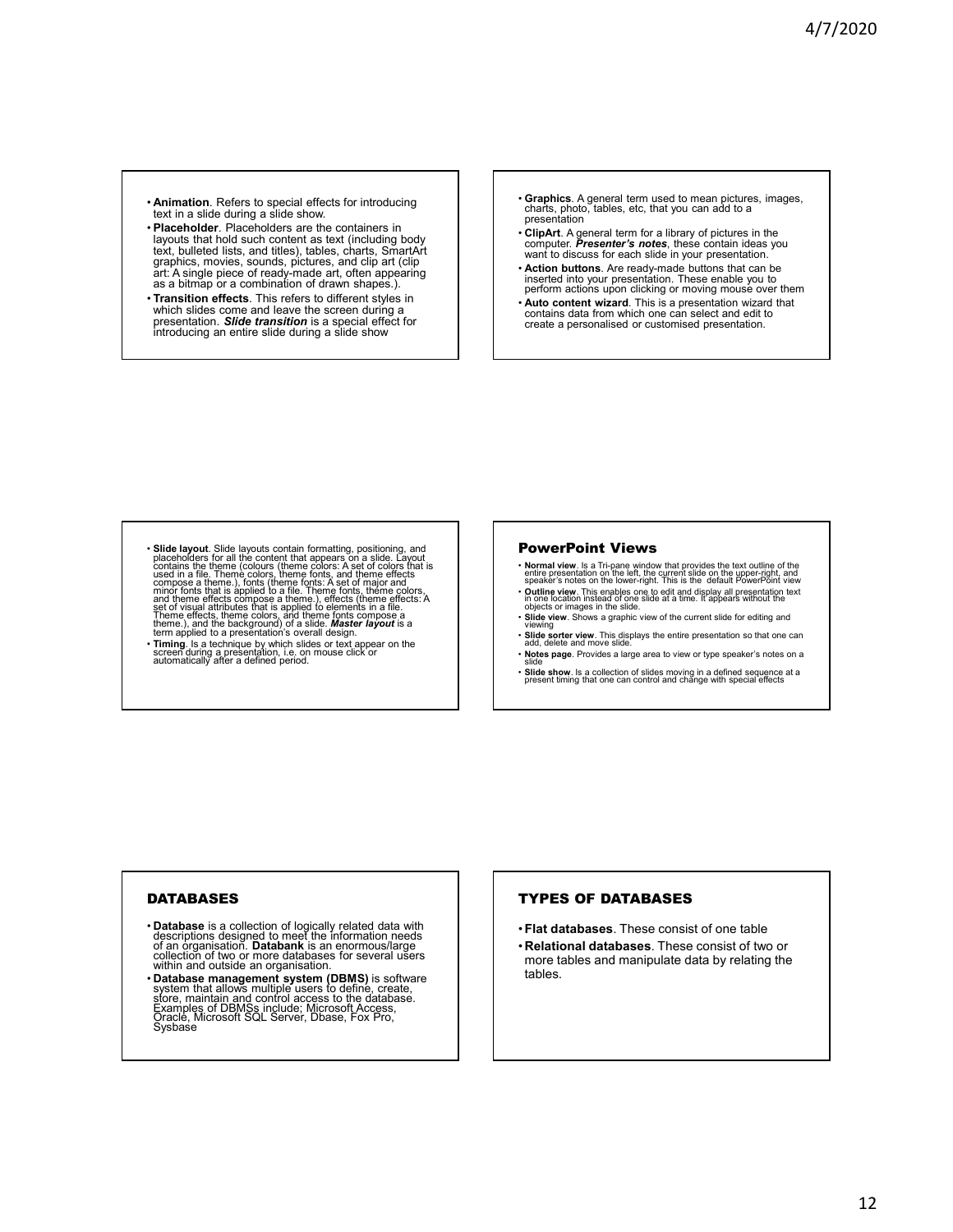- **Animation**. Refers to special effects for introducing text in a slide during a slide show.
- **Placeholder**. Placeholders are the containers in layouts that hold such content as text (including body text, bulleted lists, and titles), tables, charts, SmartArt graphics, movies, sounds, pictures, and clip art (clip art: A single piece of ready-made art, often appearing as a bitmap or a combination of drawn shapes.).
- **Transition effects**. This refers to different styles in which slides come and leave the screen during a<br>presentation. **Slide transition** is a special effect for<br>introducing an entire slide during a slide show
- **Graphics**. A general term used to mean pictures, images, charts, photo, tables, etc, that you can add to a presentation
- **ClipArt**. A general term for a library of pictures in the computer. *Presenter's notes*, these contain ideas you want to discuss for each slide in your presentation.
- **Action buttons**. Are ready-made buttons that can be inserted into your presentation. These enable you to perform actions upon clicking or moving mouse over them
- **Auto content wizard**. This is a presentation wizard that contains data from which one can select and edit to create a personalised or customised presentation.

- Slide layout. Slide layouts contain formatting, positioning, and<br>calcocless polar contain formatting, positioning, and<br>contains the theme (colours (theme colors). A set of colors that is<br>used in a file. Theme colors, the
- **Timing**. Is a technique by which slides or text appear on the screen during a presentation, i.e. on mouse click or automatically after a defined period.

# PowerPoint Views

- Normal view. Is a Tri-pane window that provides the text outline of the<br>entire presentation on the left, the current slide on the upper-right, and<br>speaker's notes on the lower-right. This is the default PowerPoint view • **Outline view**. This enables one to edit and display all presentation text<br>in one location instead of one slide at a time. It appears without the<br>objects or images in the slide.
- **Slide view**. Shows a graphic view of the current slide for editing and viewing
- **Slide sorter view**. This displays the entire presentation so that one can add, delete and move slide. • **Notes page**. Provides a large area to view or type speaker's notes on a slide
- **Slide show**. Is a collection of slides moving in a defined sequence at a present timing that one can control and change with special effects

# DATABASES

- Database is a collection of logically related data with<br>descriptions designed to meet the information needs<br>of an organisation. Databank is an enormous/large<br>collection of two or more databases for several users<br>within a
- **Database management system (DBMS)** is software system that allows multiple users to define, create, store, maintain and control access to the database. Examples of DBMSs include; Microsoft Access, Oraclė, Microsoft SQL Server, Dbase, Fox Pro, ́<br>Sysbase

# TYPES OF DATABASES

- •**Flat databases**. These consist of one table
- **Relational databases**. These consist of two or more tables and manipulate data by relating the tables.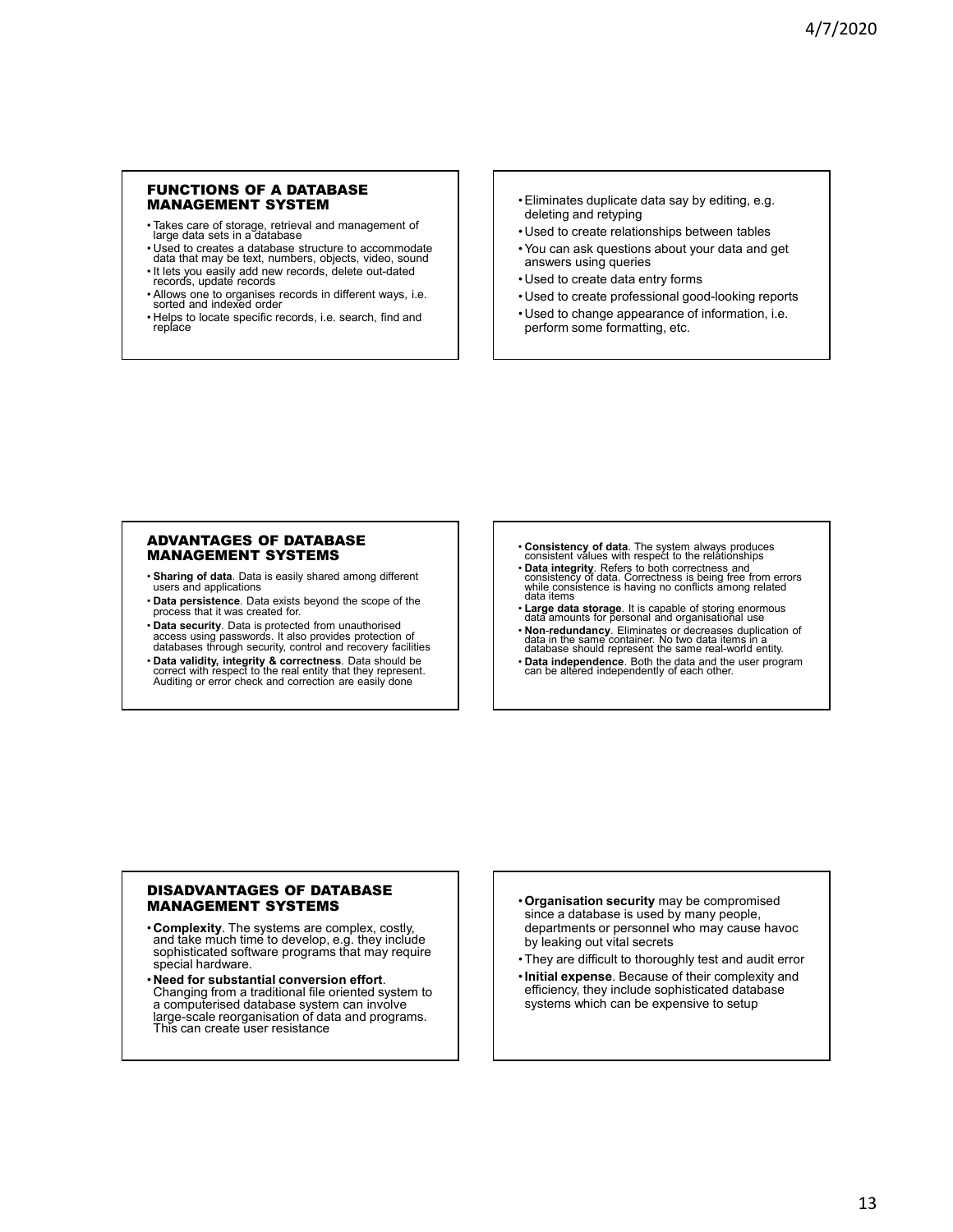### FUNCTIONS OF A DATABASE MANAGEMENT SYSTEM

- Takes care of storage, retrieval and management of large data sets in a database
- Used to creates a database structure to accommodate data that may be text, numbers, objects, video, sound
- It lets you easily add new records, delete out-dated records, update records
- Allows one to organises records in different ways, i.e. sorted and indexed order
- Helps to locate specific records, i.e. search, find and replace
- Eliminates duplicate data say by editing, e.g. deleting and retyping
- Used to create relationships between tables • You can ask questions about your data and get
- answers using queries
- Used to create data entry forms
- Used to create professional good-looking reports
- Used to change appearance of information, i.e. perform some formatting, etc.

#### ADVANTAGES OF DATABASE MANAGEMENT SYSTEMS

- **Sharing of data**. Data is easily shared among different users and applications
- **Data persistence**. Data exists beyond the scope of the process that it was created for.
- **Data security**. Data is protected from unauthorised access using passwords. It also provides protection of databases through security, control and recovery facilities
- **Data validity, integrity & correctness**. Data should be correct with respect to the real entity that they represent. Auditing or error check and correction are easily done
- **Consistency of data**. The system always produces consistent values with respect to the relationships
- **Data integrity**. Refers to both correctness and consistency of data. Correctness is being free from errors while consistence is having no conflicts among related data items
- **Large data storage**. It is capable of storing enormous data amounts for personal and organisational use
- **Non**-**redundancy**. Eliminates or decreases duplication of data in the same container. No two data items in a database should represent the same real-world entity.
- **Data independence**. Both the data and the user program can be altered independently of each other.

# DISADVANTAGES OF DATABASE MANAGEMENT SYSTEMS

- **Complexity**. The systems are complex, costly, and take much time to develop, e.g. they include sophisticated software programs that may require special hardware.
- **Need for substantial conversion effort**. Changing from a traditional file oriented system to a computerised database system can involve large-scale reorganisation of data and programs. This can create user resistance
- •**Organisation security** may be compromised since a database is used by many people, departments or personnel who may cause havoc by leaking out vital secrets
- They are difficult to thoroughly test and audit error
- •**Initial expense**. Because of their complexity and efficiency, they include sophisticated database systems which can be expensive to setup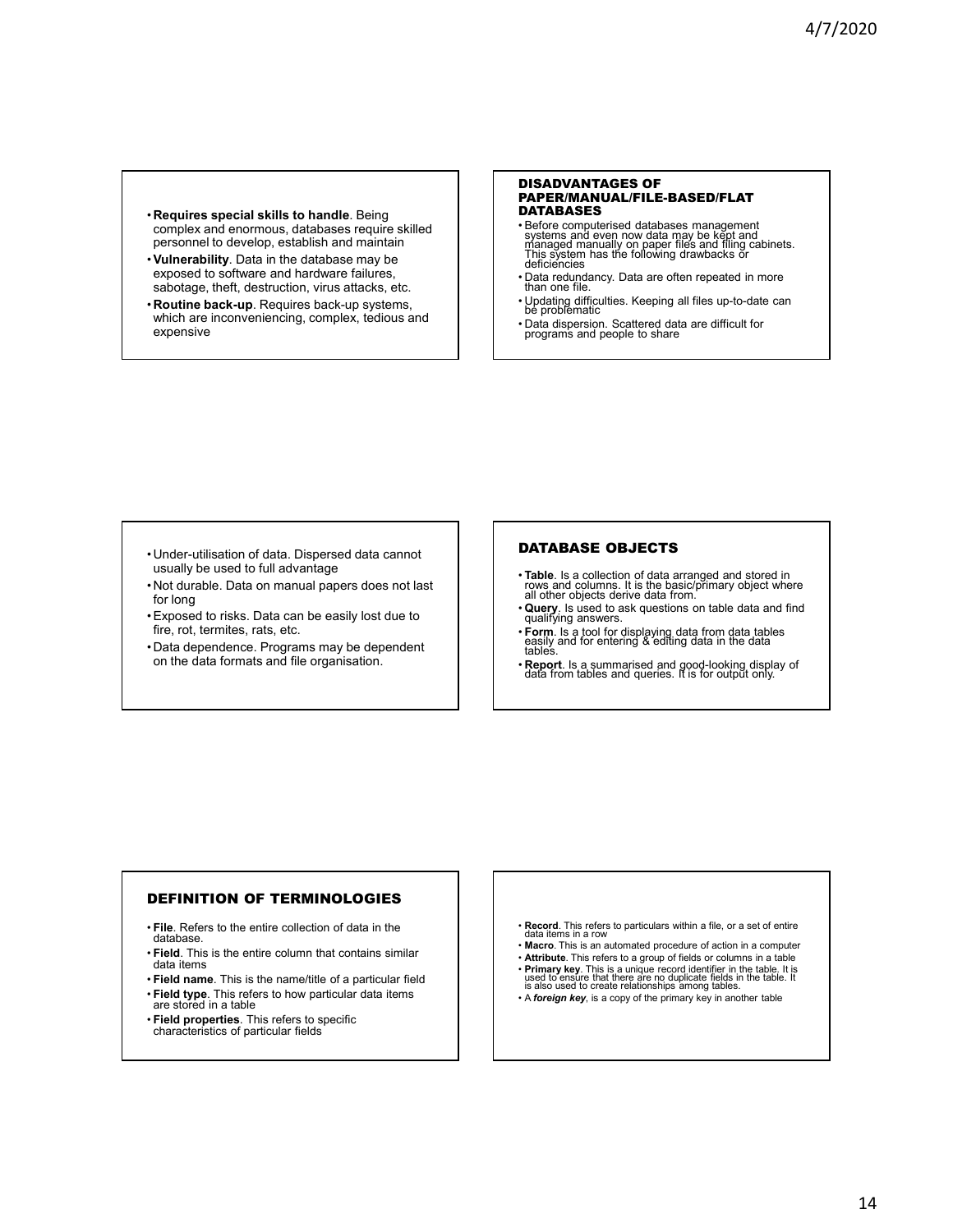- **Requires special skills to handle**. Being complex and enormous, databases require skilled personnel to develop, establish and maintain
- •**Vulnerability**. Data in the database may be exposed to software and hardware failures, sabotage, theft, destruction, virus attacks, etc.
- **Routine back-up**. Requires back-up systems, which are inconveniencing, complex, tedious and expensive

#### DISADVANTAGES OF PAPER/MANUAL/FILE-BASED/FLAT DATABASES

- Before computerised databases management systems and even now data may be kept and managed manually on paper files and filing cabinets. This system has the following drawbacks or deficiencies
- Data redundancy. Data are often repeated in more than one file.
- Updating difficulties. Keeping all files up-to-date can be problematic
- Data dispersion. Scattered data are difficult for programs and people to share

- Under-utilisation of data. Dispersed data cannot usually be used to full advantage
- Not durable. Data on manual papers does not last for long
- Exposed to risks. Data can be easily lost due to fire, rot, termites, rats, etc.
- Data dependence. Programs may be dependent on the data formats and file organisation.

# DATABASE OBJECTS

- **Table**. Is a collection of data arranged and stored in rows and columns. It is the basic/primary object where all other objects derive data from.
- **Query**. Is used to ask questions on table data and find qualifying answers.
- **Form**. Is a tool for displaying data from data tables easily and for entering & editing data in the data tables.
- **Report**. Is a summarised and good-looking display of data from tables and queries. It is for output only.

# DEFINITION OF TERMINOLOGIES

- **File**. Refers to the entire collection of data in the database.
- **Field**. This is the entire column that contains similar data items
- **Field name**. This is the name/title of a particular field
- **Field type**. This refers to how particular data items
- are stored in a table • **Field properties**. This refers to specific
- characteristics of particular fields
- **Record**. This refers to particulars within a file, or a set of entire data items in a row
- **Macro**. This is an automated procedure of action in a computer
- **Attribute**. This refers to a group of fields or columns in a table
- **Primary key**. This is a unique record identifier in the table. It is used to ensure that there are no duplicate fields in the table. It is also used to create relationships among tables.
- A *foreign key*, is a copy of the primary key in another table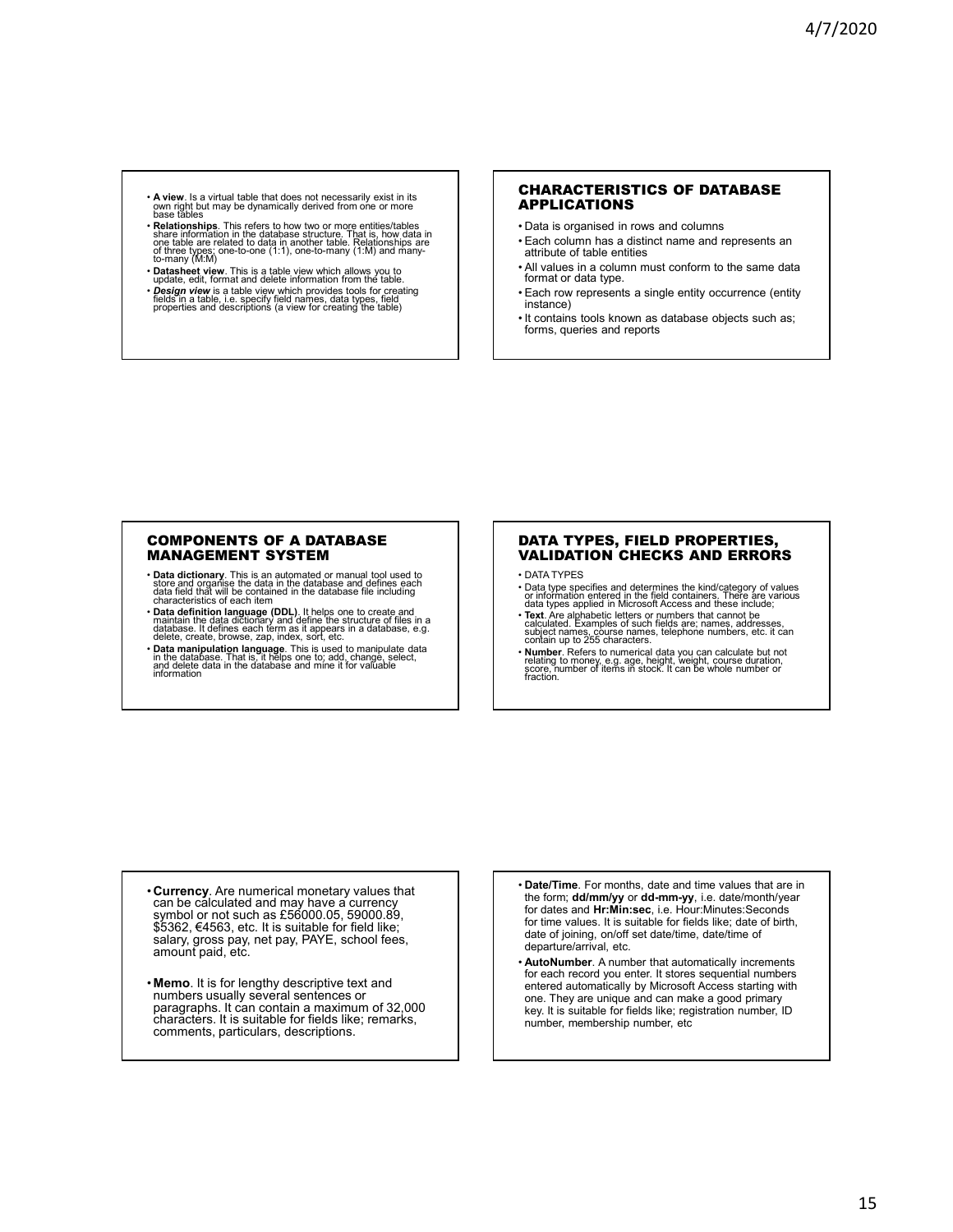- **A view**. Is a virtual table that does not necessarily exist in its<br>own right but may be dynamically derived from one or more<br>base tables
- Relationships. This refers to how two or more entities/tables<br>share information in the database structure. That is, how data in<br>one table are related to data in another table. Relationships are<br>of three types; one-to-one
- **Datasheet view**. This is a table view which allows you to update, edit, format and delete information from the table.
- *Design view* is a table view which provides tools for creating<br>fields in a table, i.e. specify field names, data types, field<br>properties and descriptions (a view for creating the table)

#### CHARACTERISTICS OF DATABASE APPLICATIONS

- Data is organised in rows and columns
- Each column has a distinct name and represents an attribute of table entities
- All values in a column must conform to the same data format or data type.
- Each row represents a single entity occurrence (entity instance)
- It contains tools known as database objects such as; forms, queries and reports

#### COMPONENTS OF A DATABASE MANAGEMENT SYSTEM

- Data dictionary. This is an automated or manual tool used to store and organise the data in the database and defines each data field that will be contained in the database file including characteristics of each item
- Data definition language (DDL). It helps one to create and<br>maintain the data dictionary and define the structure of files in a<br>database. It defines each term as it appears in a database, e.g.<br>delete, create, browse, zap,
- **Data manipulation language**. This is used to manipulate data in the database. That is, it helps one to; add, change, select, and delete data in the database and mine it for valuable information

#### DATA TYPES, FIELD PROPERTIES, VALIDATION CHECKS AND ERRORS

- DATA TYPES
- Data type specifies and determines the kind/category of values or information entered in the field containers. There are various data types applied in Microsoft Access and these include;
- **Text**. Are alphabetic letters or numbers that cannot be calculated. Examples of such fields are; names, addresses, subject names, course names, telephone numbers, etc. it can contain up to 255 characters.
- **Number**. Refers to numerical data you can calculate but not relating to money, e.g. age, height, weight, course duration, score, number of items in stock. It can be whole number or fraction.

- **Currency**. Are numerical monetary values that can be calculated and may have a currency symbol or not such as £56000.05, 59000.89, \$5362, €4563, etc. It is suitable for field like; salary, gross pay, net pay, PAYE, school fees, amount paid, etc.
- **Memo**. It is for lengthy descriptive text and numbers usually several sentences or paragraphs. It can contain a maximum of 32,000 characters. It is suitable for fields like; remarks, comments, particulars, descriptions.
- **Date/Time**. For months, date and time values that are in the form; **dd/mm/yy** or **dd-mm-yy**, i.e. date/month/year for dates and **Hr:Min:sec**, i.e. Hour:Minutes:Seconds for time values. It is suitable for fields like; date of birth, date of joining, on/off set date/time, date/time of departure/arrival, etc.
- **AutoNumber**. A number that automatically increments for each record you enter. It stores sequential numbers entered automatically by Microsoft Access starting with one. They are unique and can make a good primary key. It is suitable for fields like; registration number, ID number, membership number, etc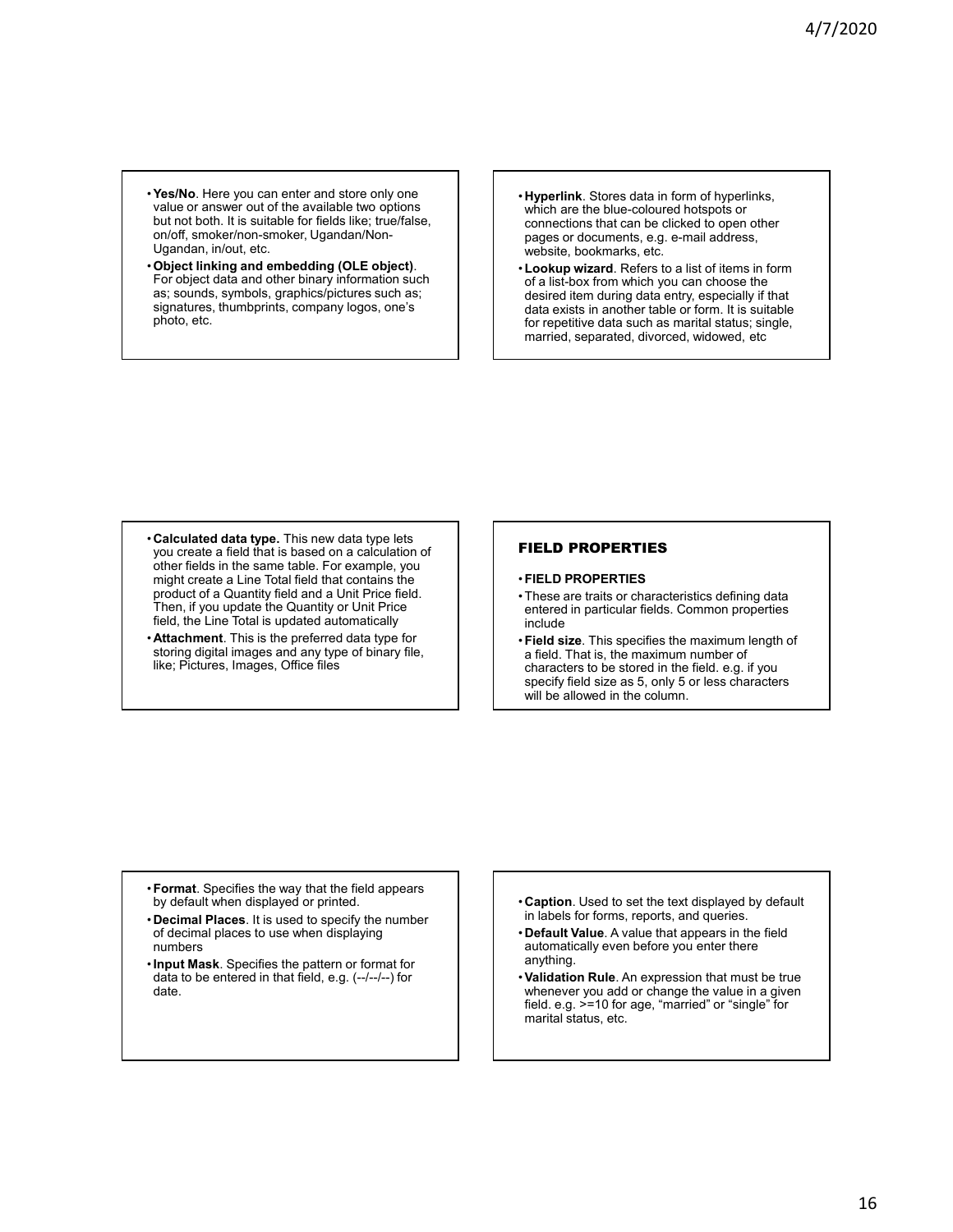- •**Yes/No**. Here you can enter and store only one value or answer out of the available two options but not both. It is suitable for fields like; true/false, on/off, smoker/non-smoker, Ugandan/Non-Ugandan, in/out, etc.
- •**Object linking and embedding (OLE object)**. For object data and other binary information such as; sounds, symbols, graphics/pictures such as; signatures, thumbprints, company logos, one's photo, etc.
- **Hyperlink**. Stores data in form of hyperlinks, which are the blue-coloured hotspots or connections that can be clicked to open other pages or documents, e.g. e-mail address, website, bookmarks, etc.
- •**Lookup wizard**. Refers to a list of items in form of a list-box from which you can choose the desired item during data entry, especially if that data exists in another table or form. It is suitable for repetitive data such as marital status; single, married, separated, divorced, widowed, etc

- **Calculated data type.** This new data type lets you create a field that is based on a calculation of other fields in the same table. For example, you might create a Line Total field that contains the product of a Quantity field and a Unit Price field. Then, if you update the Quantity or Unit Price field, the Line Total is updated automatically
- **Attachment**. This is the preferred data type for storing digital images and any type of binary file, like; Pictures, Images, Office files

# FIELD PROPERTIES

#### •**FIELD PROPERTIES**

- These are traits or characteristics defining data entered in particular fields. Common properties include
- •**Field size**. This specifies the maximum length of a field. That is, the maximum number of characters to be stored in the field. e.g. if you specify field size as 5, only 5 or less characters will be allowed in the column.

- •**Format**. Specifies the way that the field appears by default when displayed or printed.
- **Decimal Places**. It is used to specify the number of decimal places to use when displaying numbers
- •**Input Mask**. Specifies the pattern or format for data to be entered in that field, e.g. (--/--/--) for date.
- **Caption**. Used to set the text displayed by default in labels for forms, reports, and queries.
- **Default Value**. A value that appears in the field automatically even before you enter there anything.
- •**Validation Rule**. An expression that must be true whenever you add or change the value in a given field. e.g. >=10 for age, "married" or "single" for marital status, etc.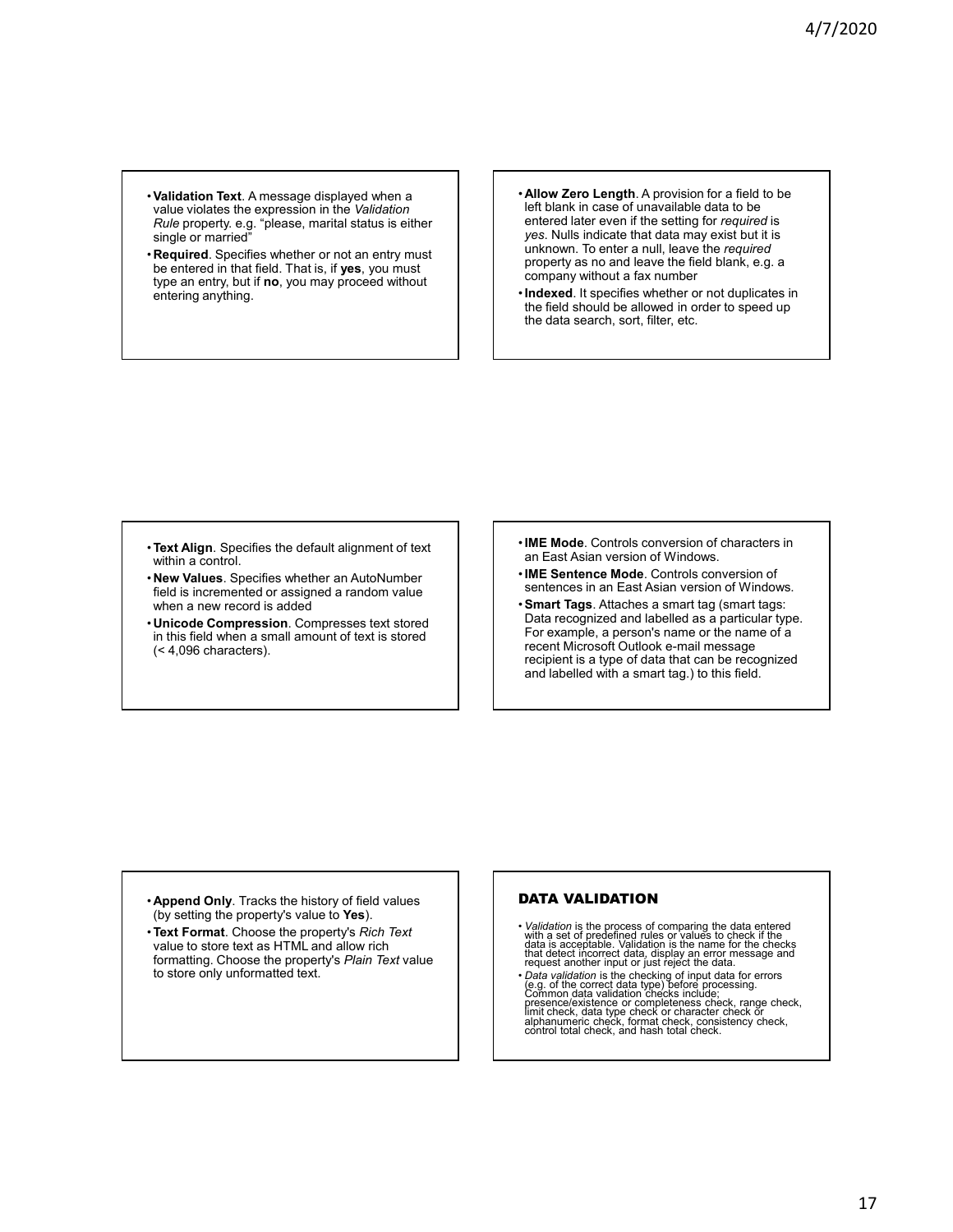- •**Validation Text**. A message displayed when a value violates the expression in the *Validation Rule* property. e.g. "please, marital status is either single or married"
- **Required**. Specifies whether or not an entry must be entered in that field. That is, if **yes**, you must type an entry, but if **no**, you may proceed without entering anything.
- **Allow Zero Length**. A provision for a field to be left blank in case of unavailable data to be entered later even if the setting for *required* is *yes*. Nulls indicate that data may exist but it is unknown. To enter a null, leave the *required* property as no and leave the field blank, e.g. a company without a fax number
- •**Indexed**. It specifies whether or not duplicates in the field should be allowed in order to speed up the data search, sort, filter, etc.

- •**Text Align**. Specifies the default alignment of text within a control.
- **New Values**. Specifies whether an AutoNumber field is incremented or assigned a random value when a new record is added
- **Unicode Compression**. Compresses text stored in this field when a small amount of text is stored (< 4,096 characters).
- •**IME Mode**. Controls conversion of characters in an East Asian version of Windows.
- •**IME Sentence Mode**. Controls conversion of sentences in an East Asian version of Windows.
- •**Smart Tags**. Attaches a smart tag (smart tags: Data recognized and labelled as a particular type. For example, a person's name or the name of a recent Microsoft Outlook e-mail message recipient is a type of data that can be recognized and labelled with a smart tag.) to this field.

- **Append Only**. Tracks the history of field values (by setting the property's value to **Yes**).
- •**Text Format**. Choose the property's *Rich Text* value to store text as HTML and allow rich formatting. Choose the property's *Plain Text* value to store only unformatted text.

# DATA VALIDATION

- *Validation* is the process of comparing the data entered with a set of predefined rules of pradiction data is acceptable. Validation is the name for the checks that detect incorrect data, display an error message and re
- Data validation is the checking of input data for errors<br>(e.g. of the correct data type) before processing.<br>Common data validation checks include;<br>presence/existence or completeness check, range check,<br>limit check, data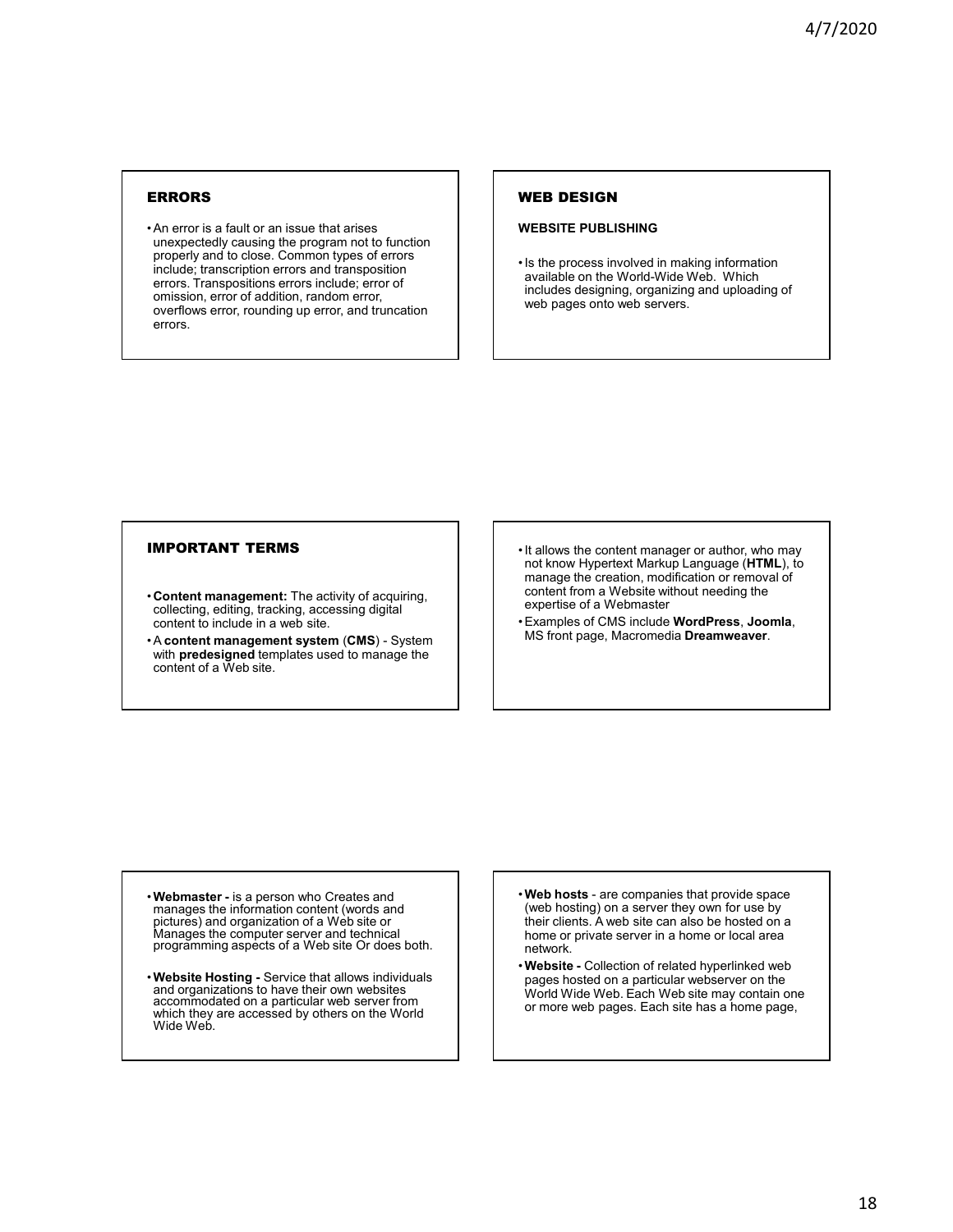# ERRORS

• An error is a fault or an issue that arises unexpectedly causing the program not to function properly and to close. Common types of errors include; transcription errors and transposition errors. Transpositions errors include; error of omission, error of addition, random error, overflows error, rounding up error, and truncation errors.

# WEB DESIGN

### **WEBSITE PUBLISHING**

• Is the process involved in making information available on the World-Wide Web. Which includes designing, organizing and uploading of web pages onto web servers.

# IMPORTANT TERMS

- **Content management:** The activity of acquiring, collecting, editing, tracking, accessing digital content to include in a web site.
- A **content management system** (**CMS**) System with **predesigned** templates used to manage the content of a Web site.
- It allows the content manager or author, who may not know Hypertext Markup Language (**HTML**), to manage the creation, modification or removal of content from a Website without needing the expertise of a Webmaster
- Examples of CMS include **WordPress**, **Joomla**, MS front page, Macromedia **Dreamweaver**.

- •**Webmaster -** is a person who Creates and manages the information content (words and pictures) and organization of a Web site or Manages the computer server and technical programming aspects of a Web site Or does both.
- •**Website Hosting -** Service that allows individuals and organizations to have their own websites accommodated on a particular web server from which they are accessed by others on the World Wide Web.
- •**Web hosts** are companies that provide space (web hosting) on a server they own for use by their clients. A web site can also be hosted on a home or private server in a home or local area network.
- •**Website -** Collection of related hyperlinked web pages hosted on a particular webserver on the World Wide Web. Each Web site may contain one or more web pages. Each site has a home page,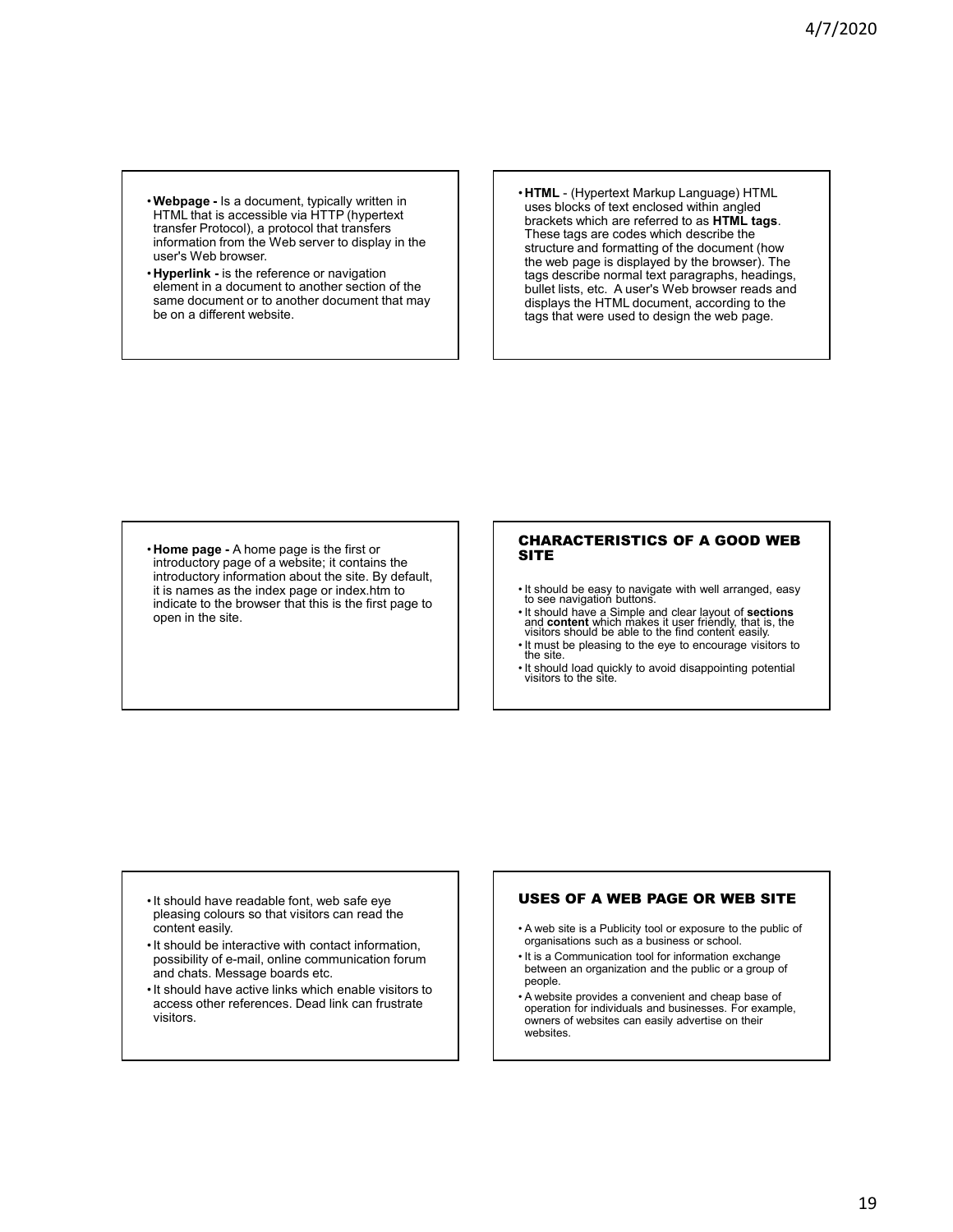- •**Webpage -** Is a document, typically written in HTML that is accessible via HTTP (hypertext transfer Protocol), a protocol that transfers information from the Web server to display in the user's Web browser.
- **Hyperlink -** is the reference or navigation element in a document to another section of the same document or to another document that may be on a different website.

• **HTML** - (Hypertext Markup Language) HTML uses blocks of text enclosed within angled brackets which are referred to as **HTML tags**. These tags are codes which describe the structure and formatting of the document (how the web page is displayed by the browser). The tags describe normal text paragraphs, headings, bullet lists, etc. A user's Web browser reads and displays the HTML document, according to the tags that were used to design the web page.

• **Home page -** A home page is the first or introductory page of a website; it contains the introductory information about the site. By default, it is names as the index page or index.htm to indicate to the browser that this is the first page to open in the site.

## CHARACTERISTICS OF A GOOD WEB **SITE**

- It should be easy to navigate with well arranged, easy to see navigation buttons.
- It should have a Simple and clear layout of **sections** and **content** which makes it user friendly, that is, the visitors should be able to the find content easily.
- It must be pleasing to the eye to encourage visitors to the site.
- It should load quickly to avoid disappointing potential visitors to the site.

- It should have readable font, web safe eye pleasing colours so that visitors can read the content easily.
- It should be interactive with contact information, possibility of e-mail, online communication forum and chats. Message boards etc.
- It should have active links which enable visitors to access other references. Dead link can frustrate visitors.

# USES OF A WEB PAGE OR WEB SITE

- A web site is a Publicity tool or exposure to the public of organisations such as a business or school.
- It is a Communication tool for information exchange between an organization and the public or a group of people.
- A website provides a convenient and cheap base of operation for individuals and businesses. For example, owners of websites can easily advertise on their **websites**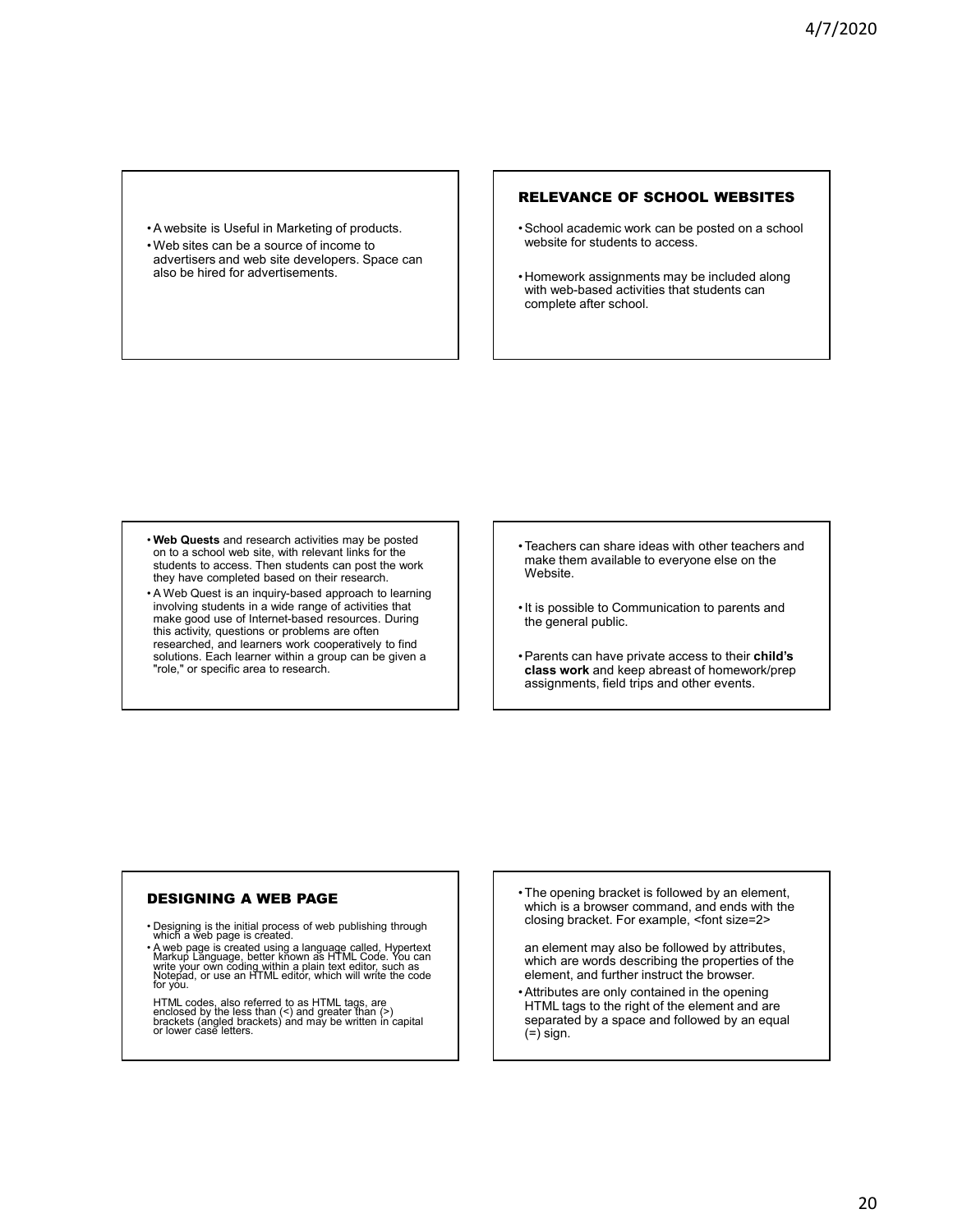• A website is Useful in Marketing of products. • Web sites can be a source of income to advertisers and web site developers. Space can also be hired for advertisements.

# RELEVANCE OF SCHOOL WEBSITES

- School academic work can be posted on a school website for students to access.
- Homework assignments may be included along with web-based activities that students can complete after school.

- **Web Quests** and research activities may be posted on to a school web site, with relevant links for the students to access. Then students can post the work they have completed based on their research.
- A Web Quest is an inquiry-based approach to learning involving students in a wide range of activities that make good use of Internet-based resources. During this activity, questions or problems are often researched, and learners work cooperatively to find solutions. Each learner within a group can be given a "role," or specific area to research.
- Teachers can share ideas with other teachers and make them available to everyone else on the Website.
- It is possible to Communication to parents and the general public.
- Parents can have private access to their **child's class work** and keep abreast of homework/prep assignments, field trips and other events.

# DESIGNING A WEB PAGE

- Designing is the initial process of web publishing through which a web page is created.
- A web page is created using a language called, Hypertext<br>Markup Language, better known as HTML Code. You can<br>write your own coding within a plain text editor, such as<br>Notepad, or use an HTML editor, which will write the for you.
- HTML codes, also referred to as HTML tags, are enclosed by the less than (<) and greater than (>) brackets (angled brackets) and may be written in capital or lower case letters.
- The opening bracket is followed by an element, which is a browser command, and ends with the closing bracket. For example, <font size=2>

an element may also be followed by attributes, which are words describing the properties of the element, and further instruct the browser.

• Attributes are only contained in the opening HTML tags to the right of the element and are separated by a space and followed by an equal  $(=\dot{)}$  sign.